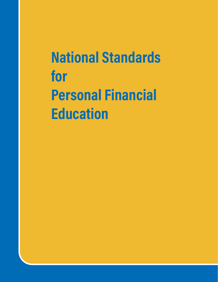National Standards for Personal Financial **Education**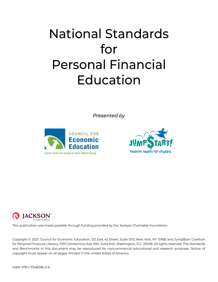# National Standards for Personal Financial Education

*Presented by*







This publication was made possible through funding provided by the Jackson Charitable Foundation.

Copyright © 2021, Council for Economic Education, 122 East 42 Street, Suite 1012, New York, NY 10168; and Jump\$tart Coalition for Personal Financial Literacy, 1001 Connecticut Ave. NW, Suite 640, Washington, D.C. 20036. All rights reserved. The Standards and Benchmarks in this document may be reproduced for noncommercial educational and research purposes. Notice of copyright must appear on all pages. Printed in the United States of America.

ISBN: 978-1-7348096-2-6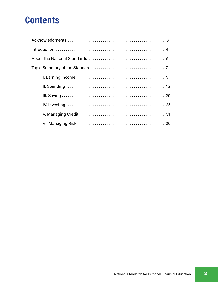## Contents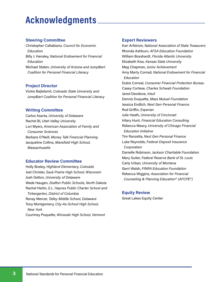## Acknowledgments

#### Steering Committee

Christopher Caltabiano, Council for Economic Education Billy J. Hensley, National Endowment for Financial Education Michael Staten, University of Arizona and Jump\$tart Coalition for Personal Financial Literacy

#### Project Director

Vickie Bajtelsmit, Colorado State University and Jump\$tart Coalition for Personal Financial Literacy

#### Writing Committee

Carlos Asarta, University of Delaware Rachel Bi, Utah Valley University Lori Myers, American Association of Family and Consumer Sciences Barbara O'Neill, Money Talk Financial Planning Jacqueline Collins, Mansfield High School, **Massachusetts** 

#### Educator Review Committee

Holly Bosley, Highland Elementary, Colorado Joel Chrisler, Sauk Prairie High School, Wisconsin Josh Dalton, University of Delaware Wade Haugen, Grafton Public Schools, North Dakota Rachel Heitin, E.L. Haynes Public Charter School and Tinkergarten, District of Columbia Renay Mercer, Talley Middle School, Delaware Tony Montgomery, City-As-School High School, New York Courtney Poquette, Winooski High School, Vermont

#### Expert Reviewers

Kari Arfstrom, National Association of State Treasurers Rhonda Ashburn, AFSA Education Foundation William Bosshardt, Florida Atlantic University Elizabeth Kiss, Kansas State University Meg Chapman, Junior Achievement Amy Marty Conrad, National Endowment for Financial Education Dubis Correal, Consumer Financial Protection Bureau Casey Cortese, Charles Schwab Foundation Jared Davidove, Intuit Dennis Duquette, Mass Mutual Foundation Jessica Endlich, Next Gen Personal Finance Rod Griffin, Experian Julie Heath, University of Cincinnati Hilary Hunt, Financial Education Consulting Rebecca Maxcy, University of Chicago Financial Education Initiative Tim Ranzetta, Next Gen Personal Finance Luke Reynolds, Federal Deposit Insurance **Corporation** Danielle Robinson, Jackson Charitable Foundation Mary Suiter, Federal Reserve Bank of St. Louis Carly Urban, University of Montana Gerri Walsh, FINRA Education Foundation Rebecca Wiggins, Association for Financial Counseling & Planning Education® (AFCPE®)

#### Equity Review

Great Lakes Equity Center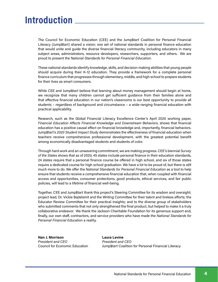## Introduction

The Council for Economic Education (CEE) and the Jump\$tart Coalition for Personal Financial Literacy (Jump\$tart) shared a vision: one set of national standards in personal finance education that would unite and guide the diverse financial literacy community, including educators in many subject areas, administrators, resource developers, researchers, supporters, and others. We are proud to present the National Standards for Personal Financial Education.

These national standards identify knowledge, skills, and decision-making abilities that young people should acquire during their K-12 education. They provide a framework for a complete personal finance curriculum that progresses through elementary, middle, and high school to prepare students for their lives as smart consumers.

While CEE and Jump\$tart believe that learning about money management should begin at home, we recognize that many children cannot get sufficient guidance from their families alone and that effective financial education in our nation's classrooms is our best opportunity to provide all students – regardless of background and circumstance – a wide-ranging financial education with practical applicability.

Research, such as the Global Financial Literacy Excellence Center's April 2020 working paper, Financial Education Affects Financial Knowledge and Downstream Behaviors, shows that financial education has a positive causal effect on financial knowledge and, importantly, financial behaviors. Jump\$tart's 2020 Student Impact Study demonstrates the effectiveness of financial education when teachers receive comprehensive professional development, with the greatest potential benefit among economically disadvantaged students and students of color.

Through hard work and an unwavering commitment, we are making progress. CEE's biennial Survey of the States shows that as of 2020, 45 states include personal finance in their education standards, 24 states require that a personal finance course be offered in high school, and six of those states require a dedicated course for high school graduation. We have a lot to be proud of, but there is still much more to do. We offer the National Standards for Personal Financial Education as a tool to help ensure that students receive a comprehensive financial education that, when coupled with financial access and opportunities, consumer protections, good products, ethical services, and fair public policies, will lead to a lifetime of financial well-being.

Together, CEE and Jump\$tart thank this project's Steering Committee for its wisdom and oversight; project lead, Dr. Vickie Bajtelsmit and the Writing Committee for their talent and tireless efforts; the Educator Review Committee for their practical insights; and to the diverse group of stakeholders who submitted comments that not only strengthened the final product, but helped to make it a truly collaborative endeavor. We thank the Jackson Charitable Foundation for its generous support and, finally, our own staff, contractors, and service providers who have made the National Standards for Personal Financial Education a reality.

Nan J. Morrison Laura Levine President and CFO President and CFO

Council for Economic Education Jump\$tart Coalition for Personal Financial Literacy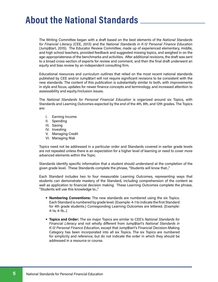## About the National Standards

The Writing Committee began with a draft based on the best elements of the National Standards for Financial Literacy (CEE, 2013) and the National Standards in K-12 Personal Finance Education (Jump\$tart, 2015). The Educator Review Committee, made up of experienced elementary, middle, and high school teachers, provided feedback and suggested missing topics, and weighed in on the age-appropriateness of the benchmarks and activities. After additional revisions, the draft was sent to a broad cross-section of experts for review and comment, and then the final draft underwent an equity and bias review by an independent consulting firm.

Educational resources and curriculum outlines that relied on the most recent national standards published by CEE and/or Jump\$tart will not require significant revisions to be consistent with the new standards. The content of this publication is substantially similar to both, with improvements in style and focus, updates for newer finance concepts and terminology, and increased attention to assessability and equity/inclusion issues.

The National Standards for Personal Financial Education is organized around six Topics, with Standards and Learning Outcomes expected by the end of the 4th, 8th, and 12th grades. The Topics are:

- I. Earning Income
- II. Spending
- III. Saving
- IV. Investing
- V. Managing Credit
- VI. Managing Risk

Topics need not be addressed in a particular order and Standards covered in earlier grade levels are not repeated unless there is an expectation for a higher level of learning or need to cover more advanced elements within the Topic.

Standards identify specific information that a student should understand at the completion of the given grade level. These Standards complete the phrase, "Students will know that..."

Each Standard includes two to four measurable Learning Outcomes, representing ways that students can demonstrate mastery of the Standard, including comprehension of the content as well as application to financial decision making. These Learning Outcomes complete the phrase, "Students will use this knowledge to..."

- **•** Numbering Conventions: The new standards are numbered using the six Topics. Each Standard is numbered by grade level. (Example: 4-1 to indicate the first Standard for 4th grade students.) Corresponding Learning Outcomes are lettered. (Example: 4-1a, 4-1b...)
- **•** Topics and Order: The six major Topics are similar to CEE's National Standards for Financial Literacy and not wholly different from Jump\$tart's National Standards in K-12 Personal Finance Education, except that Jump\$tart's Financial Decision-Making Category has been incorporated into all six Topics. The six Topics are numbered for simplicity and reference, but do not indicate the order in which they should be addressed in a resource or course.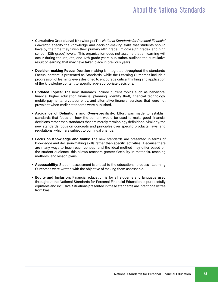- **•** Cumulative Grade Level Knowledge: The National Standards for Personal Financial Education specify the knowledge and decision-making skills that students should have by the time they finish their primary (4th grade), middle (8th grade), and high school (12th grade) levels. This organization does not assume that all learning will occur during the 4th, 8th, and 12th grade years but, rather, outlines the cumulative result of learning that may have taken place in previous years.
- **•** Decision-making Focus: Decision-making is integrated throughout the standards. Factual content is presented as Standards, while the Learning Outcomes include a progression of learning levels designed to encourage critical thinking and application of the knowledge content to specific age-appropriate decisions.
- **•** Updated Topics: The new standards include current topics such as behavioral finance, higher education financial planning, identity theft, financial technology, mobile payments, cryptocurrency, and alternative financial services that were not prevalent when earlier standards were published.
- **•** Avoidance of Definitions and Over-specificity: Effort was made to establish standards that focus on how the content would be used to make good financial decisions rather than standards that are merely terminology definitions. Similarly, the new standards focus on concepts and principles over specific products, laws, and regulations, which are subject to continual change.
- **•** Focus on Knowledge and Skills: The new standards are presented in terms of knowledge and decision-making skills rather than specific activities. Because there are many ways to teach each concept and the ideal method may differ based on the student audience, this allows teachers greater flexibility in materials, teaching methods, and lesson plans.
- **•** Assessability: Student assessment is critical to the educational process. Learning Outcomes were written with the objective of making them assessable.
- **•** Equity and Inclusion: Financial education is for all students and language used throughout the National Standards for Personal Financial Education is purposefully equitable and inclusive. Situations presented in these standards are intentionally free from bias.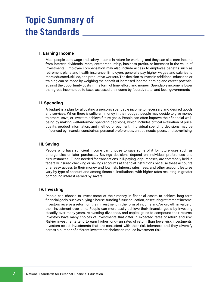## Topic Summary of the Standards

#### I. Earning Income

Most people earn wage and salary income in return for working, and they can also earn income from interest, dividends, rents, entrepreneurship, business profits, or increases in the value of investments. Employee compensation may also include access to employee benefits such as retirement plans and health insurance. Employers generally pay higher wages and salaries to more educated, skilled, and productive workers. The decision to invest in additional education or training can be made by weighing the benefit of increased income-earning and career potential against the opportunity costs in the form of time, effort, and money. Spendable income is lower than gross income due to taxes assessed on income by federal, state, and local governments.

#### II. Spending

A budget is a plan for allocating a person's spendable income to necessary and desired goods and services. When there is sufficient money in their budget, people may decide to give money to others, save, or invest to achieve future goals. People can often improve their financial wellbeing by making well-informed spending decisions, which includes critical evaluation of price, quality, product information, and method of payment. Individual spending decisions may be influenced by financial constraints, personal preferences, unique needs, peers, and advertising.

#### III. Saving

People who have sufficient income can choose to save some of it for future uses such as emergencies or later purchases. Savings decisions depend on individual preferences and circumstances. Funds needed for transactions, bill-paying, or purchases, are commonly held in federally insured checking or savings accounts at financial institutions because these accounts offer easy access to their money and low risk. Interest rates, fees, and other account features vary by type of account and among financial institutions, with higher rates resulting in greater compound interest earned by savers.

#### IV. Investing

People can choose to invest some of their money in financial assets to achieve long-term financial goals, such as buying a house, funding future education, or securing retirement income. Investors receive a return on their investment in the form of income and/or growth in value of their investment over time. People can more easily achieve their financial goals by investing steadily over many years, reinvesting dividends, and capital gains to compound their returns. Investors have many choices of investments that differ in expected rates of return and risk. Riskier investments tend to earn higher long-run rates of return than lower-risk investments. Investors select investments that are consistent with their risk tolerance, and they diversify across a number of different investment choices to reduce investment risk.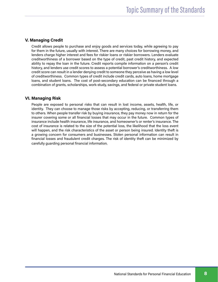#### V. Managing Credit

Credit allows people to purchase and enjoy goods and services today, while agreeing to pay for them in the future, usually with interest. There are many choices for borrowing money, and lenders charge higher interest and fees for riskier loans or riskier borrowers. Lenders evaluate creditworthiness of a borrower based on the type of credit, past credit history, and expected ability to repay the loan in the future. Credit reports compile information on a person's credit history, and lenders use credit scores to assess a potential borrower's creditworthiness. A low credit score can result in a lender denying credit to someone they perceive as having a low level of creditworthiness. Common types of credit include credit cards, auto loans, home mortgage loans, and student loans. The cost of post-secondary education can be financed through a combination of grants, scholarships, work-study, savings, and federal or private student loans.

#### VI. Managing Risk

People are exposed to personal risks that can result in lost income, assets, health, life, or identity. They can choose to manage those risks by accepting, reducing, or transferring them to others. When people transfer risk by buying insurance, they pay money now in return for the insurer covering some or all financial losses that may occur in the future. Common types of insurance include health insurance, life insurance, and homeowner's or renter's insurance. The cost of insurance is related to the size of the potential loss, the likelihood that the loss event will happen, and the risk characteristics of the asset or person being insured. Identity theft is a growing concern for consumers and businesses. Stolen personal information can result in financial losses and fraudulent credit charges. The risk of identity theft can be minimized by carefully guarding personal financial information.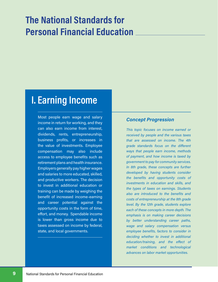## The National Standards for Personal Financial Education

## I. Earning Income

Most people earn wage and salary income in return for working, and they can also earn income from interest, dividends, rents, entrepreneurship, business profits, or increases in the value of investments. Employee compensation may also include access to employee benefits such as retirement plans and health insurance. Employers generally pay higher wages and salaries to more educated, skilled, and productive workers. The decision to invest in additional education or training can be made by weighing the benefit of increased income-earning and career potential against the opportunity costs in the form of time, effort, and money. Spendable income is lower than gross income due to taxes assessed on income by federal, state, and local governments.

#### Concept Progression

This topic focuses on income earned or received by people and the various taxes that are assessed on income. The 4th grade standards focus on the different ways that people earn income, methods of payment, and how income is taxed by government to pay for community services. In 8th grade, these concepts are further developed by having students consider the benefits and opportunity costs of investments in education and skills, and the types of taxes on earnings. Students also are introduced to the benefits and costs of entrepreneurship at the 8th grade level. By the 12th grade, students explore each of these concepts in more depth. The emphasis is on making career decisions by better understanding career paths, wage and salary compensation versus employee benefits, factors to consider in deciding whether to invest in additional education/training, and the effect of market conditions and technological advances on labor market opportunities.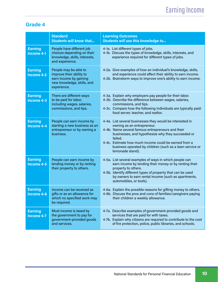|                                     | <b>Standard</b><br><b>Students will know that</b>                                                                        | <b>Learning Outcomes</b><br>Students will use this knowledge to                                                                                                                                                                                                                                                                                       |
|-------------------------------------|--------------------------------------------------------------------------------------------------------------------------|-------------------------------------------------------------------------------------------------------------------------------------------------------------------------------------------------------------------------------------------------------------------------------------------------------------------------------------------------------|
| <b>Earning</b><br><b>Income 4-1</b> | People have different job<br>choices depending on their<br>knowledge, skills, interests,<br>and experience.              | 4-1a. List different types of jobs.<br>4-1b. Discuss the types of knowledge, skills, interests, and<br>experience required for different types of jobs.                                                                                                                                                                                               |
| <b>Earning</b><br><b>Income 4-2</b> | People may be able to<br>improve their ability to<br>earn income by gaining<br>new knowledge, skills, and<br>experience. | 4-2a. Give examples of how an individual's knowledge, skills,<br>and experience could affect their ability to earn income.<br>4-2b. Brainstorm ways to improve one's ability to earn income.                                                                                                                                                          |
| <b>Earning</b><br><b>Income 4-3</b> | There are different ways<br>to be paid for labor,<br>including wages, salaries,<br>commissions, and tips.                | 4-3a. Explain why employers pay people for their labor.<br>4-3b. Describe the difference between wages, salaries,<br>commissions, and tips.<br>4-3c. Compare how the following individuals are typically paid:<br>food server, teacher, and realtor.                                                                                                  |
| <b>Earning</b><br><b>Income 4-4</b> | People can earn income by<br>starting a new business as an<br>entrepreneur or by owning a<br>business.                   | 4-4a. List several businesses they would be interested in<br>owning as an entrepreneur.<br>4-4b. Name several famous entrepreneurs and their<br>businesses, and hypothesize why they succeeded or<br>failed.<br>4-4c. Estimate how much income could be earned from a<br>business operated by children (such as a lawn service or<br>lemonade stand). |
| <b>Earning</b><br>Income 4-5        | People can earn income by<br>lending money or by renting<br>their property to others.                                    | 4-5a. List several examples of ways in which people can<br>earn income by lending their money or by renting their<br>property to others.<br>4-5b. Identify different types of property that can be used<br>by owners to earn rental income (such as apartments,<br>automobiles, or tools).                                                            |
| <b>Earning</b><br>Income 4-6        | Income can be received as<br>gifts or as an allowance for<br>which no specified work may<br>be required.                 | 4-6a. Explain the possible reasons for gifting money to others.<br>4-6b. Discuss the pros and cons of families/caregivers paying<br>their children a weekly allowance.                                                                                                                                                                                |
| <b>Earning</b><br><b>Income 4-7</b> | Most income is taxed by<br>the government to pay for<br>government-provided goods<br>and services.                       | 4-7a. Describe examples of government-provided goods and<br>services that are paid for with taxes.<br>4-7b. Explain why citizens are required to contribute to the cost<br>of fire protection, police, public libraries, and schools.                                                                                                                 |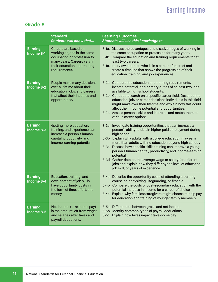|                              | <b>Standard</b><br><b>Students will know that</b>                                                                                                                   | <b>Learning Outcomes</b><br>Students will use this knowledge to                                                                                                                                                                                                                                                                                                                                                                                                                                                                                                                    |
|------------------------------|---------------------------------------------------------------------------------------------------------------------------------------------------------------------|------------------------------------------------------------------------------------------------------------------------------------------------------------------------------------------------------------------------------------------------------------------------------------------------------------------------------------------------------------------------------------------------------------------------------------------------------------------------------------------------------------------------------------------------------------------------------------|
| <b>Earning</b><br>Income 8-1 | Careers are based on<br>working at jobs in the same<br>occupation or profession for<br>many years. Careers vary in<br>their education and training<br>requirements. | 8-1a. Discuss the advantages and disadvantages of working in<br>the same occupation or profession for many years.<br>8-1b. Compare the education and training requirements for at<br>least two careers.<br>8-1c. Interview a person who is in a career of interest and<br>create a timeline that shows the progression of their<br>education, training, and job experiences.                                                                                                                                                                                                       |
| <b>Earning</b><br>Income 8-2 | People make many decisions<br>over a lifetime about their<br>education, jobs, and careers<br>that affect their incomes and<br>opportunities.                        | 8-2a. Compare the education and training requirements,<br>income potential, and primary duties of at least two jobs<br>available to high school students.<br>8-2b. Conduct research on a specific career field. Describe the<br>education, job, or career decisions individuals in this field<br>might make over their lifetime and explain how this could<br>affect their income potential and opportunities.<br>8-2c. Assess personal skills and interests and match them to<br>various career options.                                                                          |
| <b>Earning</b><br>Income 8-3 | Getting more education,<br>training, and experience can<br>increase a person's human<br>capital, productivity, and<br>income-earning potential.                     | 8-3a. Investigate training opportunities that can increase a<br>person's ability to obtain higher paid employment during<br>high school.<br>8-3b. Explain why adults with a college education may earn<br>more than adults with no education beyond high school.<br>8-3c. Discuss how specific skills training can improve a young<br>person's human capital, productivity, and income-earning<br>potential.<br>8-3d. Gather data on the average wage or salary for different<br>jobs and explain how they differ by the level of education,<br>job skill, or years of experience. |
| <b>Earning</b><br>Income 8-4 | Education, training, and<br>development of job skills<br>have opportunity costs in<br>the form of time, effort, and<br>money.                                       | 8-4a. Describe the opportunity costs of attending a training<br>course on babysitting, lifeguarding, or first aid.<br>8-4b. Compare the costs of post-secondary education with the<br>potential increase in income for a career of choice.<br>8-4c. Explain why families/caregivers might choose to help pay<br>for education and training of younger family members.                                                                                                                                                                                                              |
| <b>Earning</b><br>Income 8-5 | Net income (take-home pay)<br>is the amount left from wages<br>and salaries after taxes and<br>payroll deductions.                                                  | 8-5a. Differentiate between gross and net income.<br>8-5b. Identify common types of payroll deductions.<br>8-5c. Explain how taxes impact take-home pay.                                                                                                                                                                                                                                                                                                                                                                                                                           |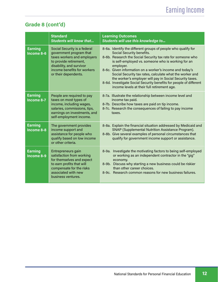### Grade 8 (cont'd)

|                                     | <b>Standard</b><br><b>Students will know that</b>                                                                                                                                                   | <b>Learning Outcomes</b><br>Students will use this knowledge to                                                                                                                                                                                                                                                                                                                                                                                                                                                                       |
|-------------------------------------|-----------------------------------------------------------------------------------------------------------------------------------------------------------------------------------------------------|---------------------------------------------------------------------------------------------------------------------------------------------------------------------------------------------------------------------------------------------------------------------------------------------------------------------------------------------------------------------------------------------------------------------------------------------------------------------------------------------------------------------------------------|
| <b>Earning</b><br>Income 8-6        | Social Security is a federal<br>government program that<br>taxes workers and employers<br>to provide retirement,<br>disability, and survivor<br>income benefits for workers<br>or their dependents. | 8-6a. Identify the different groups of people who qualify for<br>Social Security benefits.<br>8-6b. Research the Social Security tax rate for someone who<br>is self-employed vs. someone who is working for an<br>employer.<br>8-6c. Given information on a worker's income and today's<br>Social Security tax rates, calculate what the worker and<br>the worker's employer will pay in Social Security taxes.<br>8-6d. Investigate Social Security benefits for people of different<br>income levels at their full retirement age. |
| <b>Earning</b><br><b>Income 8-7</b> | People are required to pay<br>taxes on most types of<br>income, including wages,<br>salaries, commissions, tips,<br>earnings on investments, and<br>self-employment income.                         | 8-7a. Illustrate the relationship between income level and<br>income tax paid.<br>8-7b. Describe how taxes are paid on tip income.<br>8-7c. Research the consequences of failing to pay income<br>taxes.                                                                                                                                                                                                                                                                                                                              |
| <b>Earning</b><br>Income 8-8        | The government provides<br>income support and<br>assistance for people who<br>qualify based on low income<br>or other criteria.                                                                     | 8-8a. Explain the financial situation addressed by Medicaid and<br>SNAP (Supplemental Nutrition Assistance Program).<br>8-8b. Give several examples of personal circumstances that<br>qualify for government income support or assistance.                                                                                                                                                                                                                                                                                            |
| <b>Earning</b><br>Income 8-9        | Entrepreneurs gain<br>satisfaction from working<br>for themselves and expect<br>to earn profits that will<br>compensate for the risks<br>associated with new<br>business ventures.                  | Investigate the motivating factors to being self-employed<br>$8-9a.$<br>or working as an independent contractor in the "gig"<br>economy.<br>Discuss why starting a new business could be riskier<br>$8-9b.$<br>than other career choices.<br>8-9c. Research common reasons for new business failures.                                                                                                                                                                                                                                 |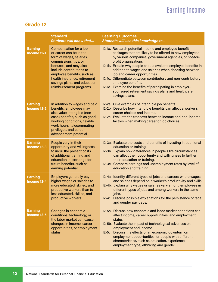|                                | <b>Standard</b><br><b>Students will know that</b>                                                                                                                                                                                                                                    | <b>Learning Outcomes</b><br>Students will use this knowledge to                                                                                                                                                                                                                                                                                                                                                                                                                                                                                                                            |
|--------------------------------|--------------------------------------------------------------------------------------------------------------------------------------------------------------------------------------------------------------------------------------------------------------------------------------|--------------------------------------------------------------------------------------------------------------------------------------------------------------------------------------------------------------------------------------------------------------------------------------------------------------------------------------------------------------------------------------------------------------------------------------------------------------------------------------------------------------------------------------------------------------------------------------------|
| <b>Earning</b><br>Income 12-1  | Compensation for a job<br>or career can be in the<br>form of wages, salaries,<br>commissions, tips, or<br>bonuses, and may also<br>include contributions to<br>employee benefits, such as<br>health insurance, retirement<br>savings plans, and education<br>reimbursement programs. | 12-1a. Research potential income and employee benefit<br>packages that are likely to be offered to new employees<br>by various companies, government agencies, or not-for-<br>profit organizations.<br>12-1b. Explain why people should evaluate employee benefits in<br>addition to wages and salaries when choosing between<br>job and career opportunities.<br>12-1c. Differentiate between contributory and non-contributory<br>employee benefits.<br>12-1d. Examine the benefits of participating in employer-<br>sponsored retirement savings plans and healthcare<br>savings plans. |
| <b>Earning</b><br>$Income12-2$ | In addition to wages and paid<br>benefits, employees may<br>also value intangible (non-<br>cash) benefits, such as good<br>working conditions, flexible<br>work hours, telecommuting<br>privileges, and career<br>advancement potential.                                             | 12-2a. Give examples of intangible job benefits.<br>12-2b. Describe how intangible benefits can affect a worker's<br>career choices and income.<br>12-2c. Evaluate the tradeoffs between income and non-income<br>factors when making career or job choices.                                                                                                                                                                                                                                                                                                                               |
| <b>Earning</b><br>Income 12-3  | People vary in their<br>opportunity and willingness<br>to incur the present costs<br>of additional training and<br>education in exchange for<br>future benefits, such as<br>earning potential.                                                                                       | 12-3a. Evaluate the costs and benefits of investing in additional<br>education or training.<br>12-3b. Explain how differences in people's life circumstances<br>can affect their opportunity and willingness to further<br>their education or training.<br>12-3c. Compare earnings and unemployment rates by level of<br>education and training.                                                                                                                                                                                                                                           |
| <b>Earning</b><br>Income 12-4  | <b>Employers generally pay</b><br>higher wages or salaries to<br>more educated, skilled, and<br>productive workers than to<br>less educated, skilled, and<br>productive workers.                                                                                                     | 12-4a. Identify different types of jobs and careers where wages<br>and salaries depend on a worker's productivity and skills.<br>12-4b. Explain why wages or salaries vary among employees in<br>different types of jobs and among workers in the same<br>jobs.<br>12-4c. Discuss possible explanations for the persistence of race<br>and gender pay gaps.                                                                                                                                                                                                                                |
| <b>Earning</b><br>Income 12-5  | Changes in economic<br>conditions, technology, or<br>the labor market can cause<br>changes in income, career<br>opportunities, or employment<br>status.                                                                                                                              | 12-5a. Discuss how economic and labor market conditions can<br>affect income, career opportunities, and employment<br>status.<br>12-5b. Evaluate the impact of technological advances on<br>employment and income.<br>12-5c. Discuss the effects of an economic downturn on<br>employment opportunities for people with different<br>characteristics, such as education, experience,<br>employment type, ethnicity, and gender.                                                                                                                                                            |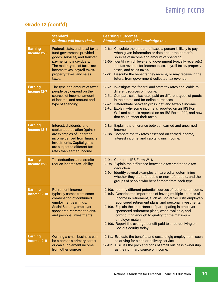### Grade 12 (cont'd)

|                                       | <b>Standard</b><br><b>Students will know that</b>                                                                                                                                                                               | <b>Learning Outcomes</b><br>Students will use this knowledge to                                                                                                                                                                                                                                                                                                                                                                                                                                                                              |
|---------------------------------------|---------------------------------------------------------------------------------------------------------------------------------------------------------------------------------------------------------------------------------|----------------------------------------------------------------------------------------------------------------------------------------------------------------------------------------------------------------------------------------------------------------------------------------------------------------------------------------------------------------------------------------------------------------------------------------------------------------------------------------------------------------------------------------------|
| <b>Earning</b><br>Income 12-6         | Federal, state, and local taxes<br>fund government-provided<br>goods, services, and transfer<br>payments to individuals.<br>The major types of taxes are<br>income taxes, payroll taxes,<br>property taxes, and sales<br>taxes. | 12-6a. Calculate the amount of taxes a person is likely to pay<br>when given information or data about the person's<br>sources of income and amount of spending.<br>12-6b. Identify which level(s) of government typically receive(s)<br>the tax revenue for income taxes, payroll taxes, property<br>taxes, and sales taxes.<br>12-6c. Describe the benefits they receive, or may receive in the<br>future, from government-collected tax revenue.                                                                                          |
| <b>Earning</b><br>Income 12-7         | The type and amount of taxes<br>people pay depend on their<br>sources of income, amount<br>of income, and amount and<br>type of spending.                                                                                       | 12-7a. Investigate the federal and state tax rates applicable to<br>different sources of income.<br>12-7b. Compare sales tax rates paid on different types of goods<br>in their state and for online purchases.<br>12-7c. Differentiate between gross, net, and taxable income.<br>12-7d. Explain why some income is reported on an IRS Form<br>W-2 and some is reported on an IRS Form 1099, and how<br>that could affect their taxes.                                                                                                      |
| <b>Earning</b><br><b>Income 12-8</b>  | Interest, dividends, and<br>capital appreciation (gains)<br>are examples of unearned<br>income derived from financial<br>investments. Capital gains<br>are subject to different tax<br>rates than earned income.                | 12-8a. Explain the difference between earned and unearned<br>income.<br>12-8b. Compare the tax rates assessed on earned income,<br>interest income, and capital gains income.                                                                                                                                                                                                                                                                                                                                                                |
| <b>Earning</b><br>Income 12-9         | Tax deductions and credits<br>reduce income tax liability.                                                                                                                                                                      | 12-9a. Complete IRS Form W-4.<br>12-9b. Explain the difference between a tax credit and a tax<br>deduction.<br>12-9c. Identify several examples of tax credits, determining<br>whether they are refundable or non-refundable, and the<br>groups of people who benefit most from each type.                                                                                                                                                                                                                                                   |
| <b>Earning</b><br><b>Income 12-10</b> | <b>Retirement income</b><br>typically comes from some<br>combination of continued<br>employment earnings,<br>Social Security, employer-<br>sponsored retirement plans,<br>and personal investments.                             | 12-10a. Identify different potential sources of retirement income.<br>12-10b. Describe the importance of having multiple sources of<br>income in retirement, such as Social Security, employer-<br>sponsored retirement plans, and personal investments.<br>12-10c. Explain the importance of participating in employer-<br>sponsored retirement plans, when available, and<br>contributing enough to qualify for the maximum<br>employer match.<br>12-10d. Report the average benefit paid to a retiree living on<br>Social Security today. |
| <b>Earning</b><br><b>Income 12-11</b> | Owning a small business can<br>be a person's primary career<br>or can supplement income<br>from other sources.                                                                                                                  | 12-11a. Evaluate the benefits and costs of gig employment, such<br>as driving for a cab or delivery service.<br>12-11b. Discuss the pros and cons of small business ownership<br>as their primary source of income.                                                                                                                                                                                                                                                                                                                          |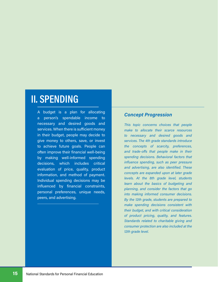## II. SPENDING

A budget is a plan for allocating a person's spendable income to necessary and desired goods and services. When there is sufficient money in their budget, people may decide to give money to others, save, or invest to achieve future goals. People can often improve their financial well-being by making well-informed spending decisions, which includes critical evaluation of price, quality, product information, and method of payment. Individual spending decisions may be influenced by financial constraints, personal preferences, unique needs, peers, and advertising.

#### Concept Progression

This topic concerns choices that people make to allocate their scarce resources to necessary and desired goods and services. The 4th grade standards introduce the concepts of scarcity, preferences, and trade-offs that people make in their spending decisions. Behavioral factors that influence spending, such as peer pressure and advertising, are also identified. These concepts are expanded upon at later grade levels. At the 8th grade level, students learn about the basics of budgeting and planning, and consider the factors that go into making informed consumer decisions. By the 12th grade, students are prepared to make spending decisions consistent with their budget, and with critical consideration of product pricing, quality, and features. Standards related to charitable giving and consumer protection are also included at the 12th grade level.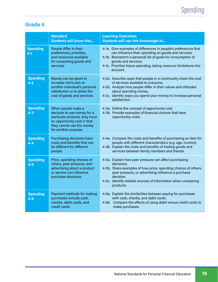|                            | <b>Standard</b><br><b>Students will know that</b>                                                                                                                       | <b>Learning Outcomes</b><br>Students will use this knowledge to                                                                                                                                                                                                                                 |
|----------------------------|-------------------------------------------------------------------------------------------------------------------------------------------------------------------------|-------------------------------------------------------------------------------------------------------------------------------------------------------------------------------------------------------------------------------------------------------------------------------------------------|
| <b>Spending</b><br>$4 - 1$ | People differ in their<br>preferences, priorities,<br>and resources available<br>for consuming goods and<br>services.                                                   | 4-1a. Give examples of differences in people's preferences that<br>can influence their spending on goods and services.<br>4-1b. Brainstorm a personal list of goals for consumption of<br>goods and services.<br>4-1c. Prioritize future spending, taking resource limitations into<br>account. |
| <b>Spending</b><br>$4 - 2$ | Money can be spent to<br>increase one's own or<br>another individual's personal<br>satisfaction or to share the<br>cost of goods and services.                          | 4-2a. Describe ways that people in a community share the cost<br>of services available to everyone.<br>4-2b. Analyze how people differ in their values and attitudes<br>about spending money.<br>4-2c. Identify ways you spend your money to increase personal<br>satisfaction.                 |
| <b>Spending</b><br>$4 - 3$ | When people make a<br>decision to use money for a<br>particular purpose, they incur<br>an opportunity cost in that<br>they cannot use the money<br>for another purpose. | 4-3a. Define the concept of opportunity cost.<br>4-3b. Provide examples of financial choices that have<br>opportunity costs.                                                                                                                                                                    |
| <b>Spending</b><br>4-4     | Purchasing decisions have<br>costs and benefits that can<br>be different for different<br>people.                                                                       | 4-4a. Compare the costs and benefits of purchasing an item for<br>people with different characteristics (e.g. age, income).<br>4-4b. Explain the costs and benefits of trading goods and<br>services between family members and friends.                                                        |
| <b>Spending</b><br>$4 - 5$ | Price, spending choices of<br>others, peer pressure, and<br>advertising about a product<br>or service can influence<br>purchase decisions.                              | 4-5a. Explain how peer pressure can affect purchasing<br>decisions.<br>4-5b. Share examples of how price, spending choices of others,<br>peer pressure, or advertising influence a purchase<br>decision.<br>4-5c. Identify reliable sources of information when comparing<br>products.          |
| <b>Spending</b><br>$4 - 6$ | Payment methods for making<br>purchases include cash,<br>checks, debit cards, and<br>credit cards.                                                                      | 4-6a. Explain the similarities between paying for purchases<br>with cash, checks, and debit cards.<br>4-6b. Compare the effects of using debit versus credit cards to<br>make purchases.                                                                                                        |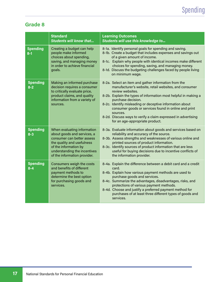|                                      | <b>Standard</b><br><b>Students will know that</b>                                                                                                                                                               | <b>Learning Outcomes</b><br>Students will use this knowledge to                                                                                                                                                                                                                                                                                                                                                                                                |
|--------------------------------------|-----------------------------------------------------------------------------------------------------------------------------------------------------------------------------------------------------------------|----------------------------------------------------------------------------------------------------------------------------------------------------------------------------------------------------------------------------------------------------------------------------------------------------------------------------------------------------------------------------------------------------------------------------------------------------------------|
| <b>Spending</b><br>$\overline{8}$ -1 | Creating a budget can help<br>people make informed<br>choices about spending,<br>saving, and managing money<br>in order to achieve financial<br>goals.                                                          | 8-1a. Identify personal goals for spending and saving.<br>8-1b. Create a budget that includes expenses and savings out<br>of a given amount of income.<br>8-1c. Explain why people with identical incomes make different<br>choices for spending, saving, and managing money.<br>8-1d. Discuss the budgeting challenges faced by people living<br>on minimum wage.                                                                                             |
| <b>Spending</b><br>$8 - 2$           | Making an informed purchase<br>decision requires a consumer<br>to critically evaluate price,<br>product claims, and quality<br>information from a variety of<br>sources.                                        | 8-2a. Select an item and gather information from the<br>manufacturer's website, retail websites, and consumer<br>review websites.<br>8-2b. Explain the types of information most helpful in making a<br>purchase decision.<br>8-2c. Identify misleading or deceptive information about<br>consumer goods or services found in online and print<br>sources.<br>8-2d. Discuss ways to verify a claim expressed in advertising<br>for an age-appropriate product. |
| <b>Spending</b><br>$8 - 3$           | When evaluating information<br>about goods and services, a<br>consumer can better assess<br>the quality and usefulness<br>of the information by<br>understanding the incentives<br>of the information provider. | 8-3a. Evaluate information about goods and services based on<br>reliability and accuracy of the source.<br>8-3b. Assess strengths and weaknesses of various online and<br>printed sources of product information.<br>8-3c. Identify sources of product information that are less<br>useful for buying decisions due to incentive conflicts of<br>the information provider.                                                                                     |
| <b>Spending</b><br>$8 - 4$           | Consumers weigh the costs<br>and benefits of different<br>payment methods to<br>determine the best option<br>for purchasing goods and<br>services.                                                              | 8-4a. Explain the difference between a debit card and a credit<br>card.<br>8-4b. Explain how various payment methods are used to<br>purchase goods and services.<br>8-4c. Summarize the advantages, disadvantages, risks, and<br>protections of various payment methods.<br>8-4d. Choose and justify a preferred payment method for<br>purchases of at least three different types of goods and<br>services.                                                   |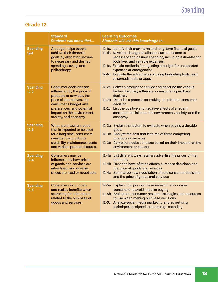|                             | <b>Standard</b><br><b>Students will know that</b>                                                                                                                                                                                    | <b>Learning Outcomes</b><br>Students will use this knowledge to                                                                                                                                                                                                                                                                                                                                                   |
|-----------------------------|--------------------------------------------------------------------------------------------------------------------------------------------------------------------------------------------------------------------------------------|-------------------------------------------------------------------------------------------------------------------------------------------------------------------------------------------------------------------------------------------------------------------------------------------------------------------------------------------------------------------------------------------------------------------|
| <b>Spending</b><br>$12 - 1$ | A budget helps people<br>achieve their financial<br>goals by allocating income<br>to necessary and desired<br>spending, saving, and<br>philanthropy.                                                                                 | 12-1a. Identify their short-term and long-term financial goals.<br>12-1b. Develop a budget to allocate current income to<br>necessary and desired spending, including estimates for<br>both fixed and variable expenses.<br>12-1c. Explain methods for adjusting a budget for unexpected<br>expenses or emergencies.<br>12-1d. Evaluate the advantages of using budgeting tools, such<br>as spreadsheets or apps. |
| <b>Spending</b><br>$12 - 2$ | <b>Consumer decisions are</b><br>influenced by the price of<br>products or services, the<br>price of alternatives, the<br>consumer's budget and<br>preferences, and potential<br>impact on the environment,<br>society, and economy. | 12-2a. Select a product or service and describe the various<br>factors that may influence a consumer's purchase<br>decision.<br>12-2b. Describe a process for making an informed consumer<br>decision.<br>12-2c. List the positive and negative effects of a recent<br>consumer decision on the environment, society, and the<br>economy.                                                                         |
| <b>Spending</b><br>$12 - 3$ | When purchasing a good<br>that is expected to be used<br>for a long time, consumers<br>consider the product's<br>durability, maintenance costs,<br>and various product features.                                                     | 12-3a. Explain the factors to evaluate when buying a durable<br>good.<br>12-3b. Analyze the cost and features of three competing<br>products or services.<br>12-3c. Compare product choices based on their impacts on the<br>environment or society.                                                                                                                                                              |
| <b>Spending</b><br>$12 - 4$ | Consumers may be<br>influenced by how prices<br>of goods and services are<br>advertised, and whether<br>prices are fixed or negotiable.                                                                                              | 12-4a. List different ways retailers advertise the prices of their<br>products.<br>12-4b. Describe how inflation affects purchase decisions and<br>the price of goods and services.<br>12-4c. Summarize how negotiation affects consumer decisions<br>and the price of goods and services.                                                                                                                        |
| <b>Spending</b><br>$12 - 5$ | <b>Consumers incur costs</b><br>and realize benefits when<br>searching for information<br>related to the purchase of<br>goods and services.                                                                                          | 12-5a. Explain how pre-purchase research encourages<br>consumers to avoid impulse buying.<br>12-5b. Brainstorm consumer research strategies and resources<br>to use when making purchase decisions.<br>12-5c. Analyze social media marketing and advertising<br>techniques designed to encourage spending.                                                                                                        |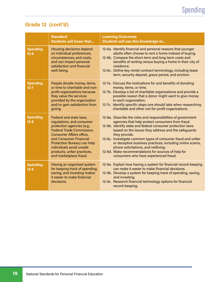### Grade 12 (cont'd)

|                             | <b>Standard</b><br><b>Students will know that</b>                                                                                                                                                                                                                                                       | <b>Learning Outcomes</b><br>Students will use this knowledge to                                                                                                                                                                                                                                                                                                                                                                                                                                                           |
|-----------------------------|---------------------------------------------------------------------------------------------------------------------------------------------------------------------------------------------------------------------------------------------------------------------------------------------------------|---------------------------------------------------------------------------------------------------------------------------------------------------------------------------------------------------------------------------------------------------------------------------------------------------------------------------------------------------------------------------------------------------------------------------------------------------------------------------------------------------------------------------|
| <b>Spending</b><br>$12 - 6$ | <b>Housing decisions depend</b><br>on individual preferences,<br>circumstances, and costs,<br>and can impact personal<br>satisfaction and financial<br>well-being.                                                                                                                                      | 12-6a. Identify financial and personal reasons that younger<br>adults often choose to rent a home instead of buying.<br>12-6b. Compare the short-term and long-term costs and<br>benefits of renting versus buying a home in their city of<br>residence.<br>12-6c. Define key rental contract terminology, including lease<br>term, security deposit, grace period, and eviction.                                                                                                                                         |
| <b>Spending</b><br>$12 - 7$ | People donate money, items,<br>or time to charitable and non-<br>profit organizations because<br>they value the services<br>provided by the organization<br>and/or gain satisfaction from<br>giving.                                                                                                    | 12-7a. Discuss the motivations for and benefits of donating<br>money, items, or time.<br>12-7b. Develop a list of charitable organizations and provide a<br>possible reason that a donor might want to give money<br>to each organization.<br>12-7c. Identify specific steps one should take when researching<br>charitable and other not-for-profit organizations.                                                                                                                                                       |
| <b>Spending</b><br>$12 - 8$ | Federal and state laws,<br>regulations, and consumer<br>protection agencies (e.g.,<br><b>Federal Trade Commission,</b><br><b>Consumer Affairs office,</b><br>and Consumer Financial<br>Protection Bureau) can help<br>individuals avoid unsafe<br>products, unfair practices,<br>and marketplace fraud. | 12-8a. Describe the roles and responsibilities of government<br>agencies that help protect consumers from fraud.<br>12-8b. Identify state and federal consumer protection laws<br>based on the issues they address and the safeguards<br>they provide.<br>12-8c. Investigate common types of consumer fraud and unfair<br>or deceptive business practices, including online scams,<br>phone solicitations, and redlining.<br>12-8d. Make recommendations for sources of help for<br>consumers who have experienced fraud. |
| <b>Spending</b><br>$12 - 9$ | Having an organized system<br>for keeping track of spending,<br>saving, and investing makes<br>it easier to make financial<br>decisions.                                                                                                                                                                | 12-9a. Explain how having a system for financial record-keeping<br>can make it easier to make financial decisions.<br>12-9b. Develop a system for keeping track of spending, saving,<br>and investing.<br>12-9c. Research financial technology options for financial<br>record-keeping.                                                                                                                                                                                                                                   |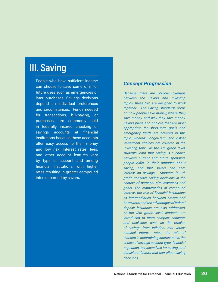## III. Saving

People who have sufficient income can choose to save some of it for future uses such as emergencies or later purchases. Savings decisions depend on individual preferences and circumstances. Funds needed for transactions, bill-paying, or purchases, are commonly held in federally insured checking or savings accounts at financial institutions because these accounts offer easy access to their money and low risk. Interest rates, fees, and other account features vary by type of account and among financial institutions, with higher rates resulting in greater compound interest earned by savers.

#### Concept Progression

Because there are obvious overlaps between the Saving and Investing topics, these two are designed to work together. The Saving standards focus on how people save money, where they save money, and why they save money. Saving plans and choices that are most appropriate for short-term goals and emergency funds are covered in this topic, whereas longer-term and riskier investment choices are covered in the Investing topic. At the 4th grade level, students learn that saving is a choice between current and future spending, people differ in their attitudes about saving, and that savers can earn interest on savings. Students in 8th grade consider saving decisions in the context of personal circumstances and goals. The mathematics of compound interest, the role of financial institutions as intermediaries between savers and borrowers, and the advantages of federal deposit insurance are also addressed. At the 12th grade level, students are introduced to more complex concepts and decisions, such as the erosion of savings from inflation, real versus nominal interest rates, the role of markets in determining interest rates, the choice of savings account type, financial regulation, tax incentives for saving, and behavioral factors that can affect saving decisions.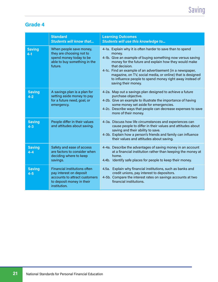|                          | <b>Standard</b><br><b>Students will know that</b>                                                                                            | <b>Learning Outcomes</b><br>Students will use this knowledge to                                                                                                                                                                                                                                                                                                                                                              |
|--------------------------|----------------------------------------------------------------------------------------------------------------------------------------------|------------------------------------------------------------------------------------------------------------------------------------------------------------------------------------------------------------------------------------------------------------------------------------------------------------------------------------------------------------------------------------------------------------------------------|
| <b>Saving</b><br>$4 - 1$ | When people save money,<br>they are choosing not to<br>spend money today to be<br>able to buy something in the<br>future.                    | 4-1a. Explain why it is often harder to save than to spend<br>money.<br>4-1b. Give an example of buying something now versus saving<br>money for the future and explain how they would make<br>that decision.<br>4-1c. Find an example of an advertisement (in a newspaper,<br>magazine, on TV, social media, or online) that is designed<br>to influence people to spend money right away instead of<br>saving their money. |
| <b>Saving</b><br>$4 - 2$ | A savings plan is a plan for<br>setting aside money to pay<br>for a future need, goal, or<br>emergency.                                      | 4-2a. Map out a savings plan designed to achieve a future<br>purchase objective.<br>4-2b. Give an example to illustrate the importance of having<br>some money set aside for emergencies.<br>4-2c. Describe ways that people can decrease expenses to save<br>more of their money.                                                                                                                                           |
| <b>Saving</b><br>$4 - 3$ | People differ in their values<br>and attitudes about saving.                                                                                 | 4-3a. Discuss how life circumstances and experiences can<br>cause people to differ in their values and attitudes about<br>saving and their ability to save.<br>4-3b. Explain how a person's friends and family can influence<br>their values and attitudes about saving.                                                                                                                                                     |
| <b>Saving</b><br>$4 - 4$ | Safety and ease of access<br>are factors to consider when<br>deciding where to keep<br>savings.                                              | 4-4a. Describe the advantages of saving money in an account<br>at a financial institution rather than keeping the money at<br>home.<br>4.4b. Identify safe places for people to keep their money.                                                                                                                                                                                                                            |
| <b>Saving</b><br>$4 - 5$ | <b>Financial institutions often</b><br>pay interest on deposit<br>accounts to attract customers<br>to deposit money in their<br>institution. | 4.5a. Explain why financial institutions, such as banks and<br>credit unions, pay interest to depositors.<br>4-5b. Compare the interest rates on savings accounts at two<br>financial institutions.                                                                                                                                                                                                                          |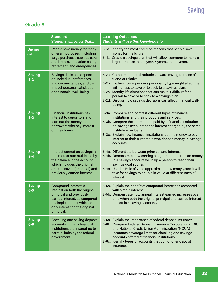|                          | <b>Standard</b><br><b>Students will know that</b>                                                                                                                                               | <b>Learning Outcomes</b><br>Students will use this knowledge to                                                                                                                                                                                                                                                                                                                                               |
|--------------------------|-------------------------------------------------------------------------------------------------------------------------------------------------------------------------------------------------|---------------------------------------------------------------------------------------------------------------------------------------------------------------------------------------------------------------------------------------------------------------------------------------------------------------------------------------------------------------------------------------------------------------|
| <b>Saving</b><br>$8 - 1$ | People save money for many<br>different purposes, including<br>large purchases such as cars<br>and homes, education costs,<br>retirement, and emergencies.                                      | 8-1a. Identify the most common reasons that people save<br>money for the future.<br>8-1b. Create a savings plan that will allow someone to make a<br>large purchase in one year, 5 years, and 10 years.                                                                                                                                                                                                       |
| <b>Saving</b><br>$8 - 2$ | Savings decisions depend<br>on individual preferences<br>and circumstances, and can<br>impact personal satisfaction<br>and financial well-being.                                                | 8-2a. Compare personal attitudes toward saving to those of a<br>friend or relative.<br>8-2b. Explain how a person's personality type might affect their<br>willingness to save or to stick to a savings plan.<br>8-2c. Identify life situations that can make it difficult for a<br>person to save or to stick to a savings plan.<br>8-2d. Discuss how savings decisions can affect financial well-<br>being. |
| <b>Saving</b><br>$8 - 3$ | <b>Financial institutions pay</b><br>interest to depositors and<br>loan out the money to<br>borrowers who pay interest<br>on their loans.                                                       | 8-3a. Compare and contrast different types of financial<br>institutions and their products and services.<br>8-3b. Compare the interest rate paid by a financial institution<br>on savings accounts to the interest charged by the same<br>institution on loans.<br>8-3c. Explain how financial institutions get the money to pay<br>interest to their customers who deposit money in savings<br>accounts.     |
| <b>Saving</b><br>$8 - 4$ | Interest earned on savings is<br>the interest rate multiplied by<br>the balance in the account,<br>which includes the original<br>amount saved (principal) and<br>previously earned interest.   | 8-4a. Differentiate between principal and interest.<br>8-4b. Demonstrate how earning a higher interest rate on money<br>in a savings account will help a person to reach their<br>savings goal sooner.<br>8-4c. Use the Rule of 72 to approximate how many years it will<br>take for savings to double in value at different rates of<br>interest.                                                            |
| <b>Saving</b><br>$8 - 5$ | Compound interest is<br>interest on both the original<br>principal and previously<br>earned interest, as compared<br>to simple interest which is<br>only interest on the original<br>principal. | 8-5a. Explain the benefit of compound interest as compared<br>with simple interest.<br>8-5b. Demonstrate how annual interest earned increases over<br>time when both the original principal and earned interest<br>are left in a savings account.                                                                                                                                                             |
| <b>Saving</b><br>$8 - 6$ | Checking and saving deposit<br>accounts in many financial<br>institutions are insured up to<br>certain limits by the federal<br>government.                                                     | 8-6a. Explain the importance of federal deposit insurance.<br>8-6b. Compare Federal Deposit Insurance Corporation (FDIC)<br>and National Credit Union Administration (NCUA)<br>insurance coverage limits for checking and savings<br>accounts offered at financial institutions.<br>8-6c. Identify types of accounts that do not offer deposit<br>insurance.                                                  |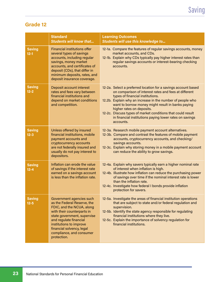|                           | <b>Standard</b><br><b>Students will know that</b>                                                                                                                                                                                                                              | <b>Learning Outcomes</b><br>Students will use this knowledge to                                                                                                                                                                                                                                                                                                                                                                                    |
|---------------------------|--------------------------------------------------------------------------------------------------------------------------------------------------------------------------------------------------------------------------------------------------------------------------------|----------------------------------------------------------------------------------------------------------------------------------------------------------------------------------------------------------------------------------------------------------------------------------------------------------------------------------------------------------------------------------------------------------------------------------------------------|
| <b>Saving</b><br>$12 - 1$ | <b>Financial institutions offer</b><br>several types of savings<br>accounts, including regular<br>savings, money market<br>accounts, and certificates of<br>deposit (CDs), that differ in<br>minimum deposits, rates, and<br>deposit insurance coverage.                       | 12-1a. Compare the features of regular savings accounts, money<br>market accounts, and CDs.<br>12-1b. Explain why CDs typically pay higher interest rates than<br>regular savings accounts or interest-bearing checking<br>accounts.                                                                                                                                                                                                               |
| <b>Saving</b><br>$12 - 2$ | Deposit account interest<br>rates and fees vary between<br>financial institutions and<br>depend on market conditions<br>and competition.                                                                                                                                       | 12-2a. Select a preferred location for a savings account based<br>on comparison of interest rates and fees at different<br>types of financial institutions.<br>12.2b. Explain why an increase in the number of people who<br>want to borrow money might result in banks paying<br>higher rates on deposits.<br>12-2c. Discuss types of market conditions that could result<br>in financial institutions paying lower rates on savings<br>accounts. |
| <b>Saving</b><br>$12 - 3$ | Unless offered by insured<br>financial institutions, mobile<br>payment accounts and<br>cryptocurrency accounts<br>are not federally insured and<br>usually do not pay interest to<br>depositors.                                                                               | 12-3a. Research mobile payment account alternatives.<br>12-3b. Compare and contrast the features of mobile payment<br>accounts, cryptocurrency accounts, and checking/<br>savings accounts.<br>12-3c. Explain why storing money in a mobile payment account<br>can reduce the ability to grow savings.                                                                                                                                             |
| <b>Saving</b><br>$12 - 4$ | Inflation can erode the value<br>of savings if the interest rate<br>earned on a savings account<br>is less than the inflation rate.                                                                                                                                            | 12-4a. Explain why savers typically earn a higher nominal rate<br>of interest when inflation is high.<br>12-4b. Illustrate how inflation can reduce the purchasing power<br>of savings over time if the nominal interest rate is lower<br>than the inflation rate.<br>12-4c. Investigate how federal I bonds provide inflation<br>protection for savers.                                                                                           |
| <b>Saving</b><br>$12 - 5$ | Government agencies such<br>as the Federal Reserve, the<br>FDIC, and the NCUA, along<br>with their counterparts in<br>state government, supervise<br>and regulate financial<br>institutions to improve<br>financial solvency, legal<br>compliance, and consumer<br>protection. | 12-5a. Investigate the areas of financial institution operations<br>that are subject to state and/or federal regulation and<br>supervision.<br>12-5b. Identify the state agency responsible for regulating<br>financial institutions where they live.<br>12-5c. Explain the importance of solvency regulation for<br>financial institutions.                                                                                                       |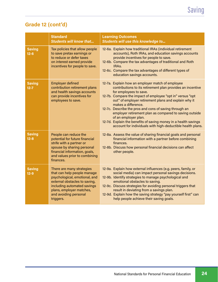### Grade 12 (cont'd)

|                           | <b>Standard</b><br><b>Students will know that</b>                                                                                                                                                                           | <b>Learning Outcomes</b><br>Students will use this knowledge to                                                                                                                                                                                                                                                                                                                                                                                                                                                                                                    |
|---------------------------|-----------------------------------------------------------------------------------------------------------------------------------------------------------------------------------------------------------------------------|--------------------------------------------------------------------------------------------------------------------------------------------------------------------------------------------------------------------------------------------------------------------------------------------------------------------------------------------------------------------------------------------------------------------------------------------------------------------------------------------------------------------------------------------------------------------|
| <b>Saving</b><br>$12 - 6$ | Tax policies that allow people<br>to save pretax earnings or<br>to reduce or defer taxes<br>on interest earned provide<br>incentives for people to save.                                                                    | 12-6a. Explain how traditional IRAs (individual retirement<br>accounts), Roth IRAs, and education savings accounts<br>provide incentives for people to save.<br>12-6b. Compare the tax advantages of traditional and Roth<br>IRA <sub>s</sub> .<br>12-6c. Compare the tax advantages of different types of<br>education savings accounts.                                                                                                                                                                                                                          |
| <b>Saving</b><br>$12 - 7$ | <b>Employer defined</b><br>contribution retirement plans<br>and health savings accounts<br>can provide incentives for<br>employees to save.                                                                                 | 12-7a. Explain how an employer match of employee<br>contributions to its retirement plan provides an incentive<br>for employees to save.<br>12-7b. Compare the impact of employee "opt in" versus "opt<br>out" of employer retirement plans and explain why it<br>makes a difference.<br>12-7c. Describe the pros and cons of saving through an<br>employer retirement plan as compared to saving outside<br>of an employer plan.<br>12-7d. Explain the benefits of saving money in a health savings<br>account for individuals with high-deductible health plans. |
| <b>Saving</b><br>$12 - 8$ | People can reduce the<br>potential for future financial<br>strife with a partner or<br>spouse by sharing personal<br>financial information, goals,<br>and values prior to combining<br>finances.                            | 12-8a. Assess the value of sharing financial goals and personal<br>financial information with a partner before combining<br>finances.<br>12-8b. Discuss how personal financial decisions can affect<br>other people.                                                                                                                                                                                                                                                                                                                                               |
| <b>Saving</b><br>$12 - 9$ | There are many strategies<br>that can help people manage<br>psychological, emotional, and<br>external obstacles to saving,<br>including automated savings<br>plans, employer matches,<br>and avoiding personal<br>triggers. | 12-9a. Explain how external influences (e.g. peers, family, or<br>social media) can impact personal savings decisions.<br>12-9b. Identify strategies to manage psychological and<br>emotional obstacles to saving.<br>12-9c. Discuss strategies for avoiding personal triggers that<br>result in deviating from a savings plan.<br>12-9d. Explain how the saving strategy "pay yourself first" can<br>help people achieve their saving goals.                                                                                                                      |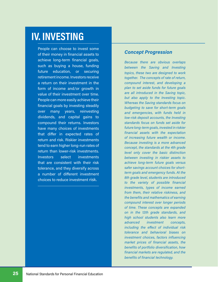## IV. INVESTING

People can choose to invest some of their money in financial assets to achieve long-term financial goals, such as buying a house, funding future education, or securing retirement income. Investors receive a return on their investment in the form of income and/or growth in value of their investment over time. People can more easily achieve their financial goals by investing steadily over many years, reinvesting dividends, and capital gains to compound their returns. Investors have many choices of investments that differ in expected rates of return and risk. Riskier investments tend to earn higher long-run rates of return than lower-risk investments. Investors select investments that are consistent with their risk tolerance, and they diversify across a number of different investment choices to reduce investment risk.

#### Concept Progression

Because there are obvious overlaps between the Saving and Investing topics, these two are designed to work together. The concepts of rate of return, compound interest, and developing a plan to set aside funds for future goals are all introduced in the Saving topic, but also apply to the Investing topic. Whereas the Saving standards focus on budgeting to save for short-term goals and emergencies, with funds held in low-risk deposit accounts, the Investing standards focus on funds set aside for future long-term goals, invested in riskier financial assets with the expectation of increasing future wealth or income. Because investing is a more advanced concept, the standards at the 4th grade level only cover the basic distinction between investing in riskier assets to achieve long-term future goals versus safer savings account choices for shortterm goals and emergency funds. At the 8th grade level, students are introduced to the variety of possible financial investments, types of income earned from them, their relative riskiness, and the benefits and mathematics of earning compound interest over longer periods of time. These concepts are expanded on in the 12th grade standards, and high school students also learn more advanced investment concepts, including the effect of individual risk tolerance and behavioral biases on investment choices, factors influencing market prices of financial assets, the benefits of portfolio diversification, how financial markets are regulated, and the benefits of financial technology.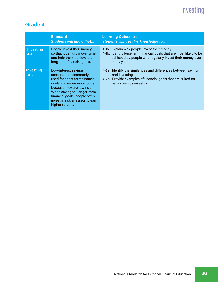|                             | <b>Standard</b><br><b>Students will know that</b>                                                                                                                                                                                                                | <b>Learning Outcomes</b><br><b>Students will use this knowledge to</b>                                                                                                                         |
|-----------------------------|------------------------------------------------------------------------------------------------------------------------------------------------------------------------------------------------------------------------------------------------------------------|------------------------------------------------------------------------------------------------------------------------------------------------------------------------------------------------|
| <b>Investing</b><br>$4 - 1$ | People invest their money<br>so that it can grow over time<br>and help them achieve their<br>long-term financial goals.                                                                                                                                          | 4-1a. Explain why people invest their money.<br>4-1b. Identify long-term financial goals that are most likely to be<br>achieved by people who regularly invest their money over<br>many years. |
| <b>Investing</b><br>$4 - 2$ | Low-interest savings<br>accounts are commonly<br>used for short-term financial<br>goals and emergency funds<br>because they are low risk.<br>When saving for longer-term<br>financial goals, people often<br>invest in riskier assets to earn<br>higher returns. | 4-2a. Identify the similarities and differences between saving<br>and investing.<br>4-2b. Provide examples of financial goals that are suited for<br>saving versus investing.                  |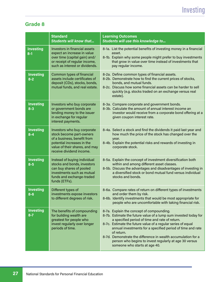|                                       | <b>Standard</b><br><b>Students will know that</b>                                                                                                                                  | <b>Learning Outcomes</b><br>Students will use this knowledge to                                                                                                                                                                                                                                                                                                                                                                                                         |
|---------------------------------------|------------------------------------------------------------------------------------------------------------------------------------------------------------------------------------|-------------------------------------------------------------------------------------------------------------------------------------------------------------------------------------------------------------------------------------------------------------------------------------------------------------------------------------------------------------------------------------------------------------------------------------------------------------------------|
| <b>Investing</b><br>$\overline{8}$ -1 | <b>Investors in financial assets</b><br>expect an increase in value<br>over time (capital gain) and/<br>or receipt of regular income,<br>such as interest or dividends.            | 8-1a. List the potential benefits of investing money in a financial<br>asset.<br>8-1b. Explain why some people might prefer to buy investments<br>that grow in value over time instead of investments that<br>pay regular income.                                                                                                                                                                                                                                       |
| <b>Investing</b><br>$8 - 2$           | Common types of financial<br>assets include certificates of<br>deposit (CDs), stocks, bonds,<br>mutual funds, and real estate.                                                     | 8-2a. Define common types of financial assets.<br>8-2b. Demonstrate how to find the current prices of stocks,<br>bonds, and mutual funds.<br>8-2c. Discuss how some financial assets can be harder to sell<br>quickly (e.g. stocks traded on an exchange versus real<br>estate).                                                                                                                                                                                        |
| <b>Investing</b><br>$8 - 3$           | Investors who buy corporate<br>or government bonds are<br>lending money to the issuer<br>in exchange for regular<br>interest payments.                                             | 8-3a. Compare corporate and government bonds.<br>8-3b. Calculate the amount of annual interest income an<br>investor would receive from a corporate bond offering at a<br>given coupon interest rate.                                                                                                                                                                                                                                                                   |
| <b>Investing</b><br>$8 - 4$           | Investors who buy corporate<br>stock become part-owners<br>of a business, benefit from<br>potential increases in the<br>value of their shares, and may<br>receive dividend income. | 8-4a. Select a stock and find the dividends it paid last year and<br>how much the price of the stock has changed over the<br>year.<br>8-4b. Explain the potential risks and rewards of investing in<br>corporate stock.                                                                                                                                                                                                                                                 |
| <b>Investing</b><br>$8 - 5$           | Instead of buying individual<br>stocks and bonds, investors<br>can buy shares of pooled<br>investments such as mutual<br>funds and exchange-traded<br>funds (ETFs).                | 8-5a. Explain the concept of investment diversification both<br>within and among different asset classes.<br>8-5b. Discuss the advantages and disadvantages of investing in<br>a diversified stock or bond mutual fund versus individual<br>stocks and bonds.                                                                                                                                                                                                           |
| <b>Investing</b><br>$8 - 6$           | Different types of<br>investments expose investors<br>to different degrees of risk.                                                                                                | 8-6a. Compare rates of return on different types of investments<br>and order them by risk.<br>8-6b. Identify investments that would be most appropriate for<br>people who are uncomfortable with taking financial risk.                                                                                                                                                                                                                                                 |
| <b>Investing</b><br>$8 - 7$           | The benefits of compounding<br>for building wealth are<br>greatest for people who<br>invest regularly over longer<br>periods of time.                                              | 8-7a. Explain the concept of compounding.<br>8-7b. Estimate the future value of a lump sum invested today for<br>a specified period of time and rate of return.<br>8-7c. Estimate the future value of a regular series of equal<br>annual investments for a specified period of time and rate<br>of return.<br>8-7d. Demonstrate the difference in wealth accumulation for a<br>person who begins to invest regularly at age 30 versus<br>someone who starts at age 40. |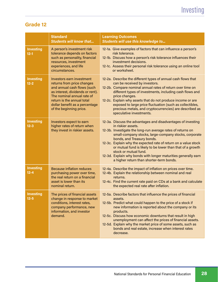|                              | <b>Standard</b><br><b>Students will know that</b>                                                                                                                                                                                                          | <b>Learning Outcomes</b><br>Students will use this knowledge to                                                                                                                                                                                                                                                                                                                                                                                                                                                  |
|------------------------------|------------------------------------------------------------------------------------------------------------------------------------------------------------------------------------------------------------------------------------------------------------|------------------------------------------------------------------------------------------------------------------------------------------------------------------------------------------------------------------------------------------------------------------------------------------------------------------------------------------------------------------------------------------------------------------------------------------------------------------------------------------------------------------|
| <b>Investing</b><br>$12 - 1$ | A person's investment risk<br>tolerance depends on factors<br>such as personality, financial<br>resources, investment<br>experiences, and life<br>circumstances.                                                                                           | 12-1a. Give examples of factors that can influence a person's<br>risk tolerance.<br>12-1b. Discuss how a person's risk tolerance influences their<br>investment decisions.<br>12-1c. Assess their personal risk tolerance using an online tool<br>or worksheet.                                                                                                                                                                                                                                                  |
| <b>Investing</b><br>$12 - 2$ | <b>Investors earn investment</b><br>returns from price changes<br>and annual cash flows (such<br>as interest, dividends or rent).<br>The nominal annual rate of<br>return is the annual total<br>dollar benefit as a percentage<br>of the beginning price. | 12-2a. Describe the different types of annual cash flows that<br>can be received by investors.<br>12-2b. Compare nominal annual rates of return over time on<br>different types of investments, including cash flows and<br>price changes.<br>12-2c. Explain why assets that do not produce income or are<br>exposed to large price fluctuation (such as collectibles,<br>precious metals, and cryptocurrencies) are described as<br>speculative investments.                                                    |
| <b>Investing</b><br>$12 - 3$ | Investors expect to earn<br>higher rates of return when<br>they invest in riskier assets.                                                                                                                                                                  | 12-3a. Discuss the advantages and disadvantages of investing<br>in riskier assets.<br>12-3b. Investigate the long-run average rates of returns on<br>small-company stocks, large-company stocks, corporate<br>bonds, and Treasury bonds.<br>12-3c. Explain why the expected rate of return on a value stock<br>or mutual fund is likely to be lower than that of a growth<br>stock or mutual fund.<br>12-3d. Explain why bonds with longer maturities generally earn<br>a higher return than shorter-term bonds. |
| <b>Investing</b><br>$12 - 4$ | <b>Because inflation reduces</b><br>purchasing power over time,<br>the real return on a financial<br>asset is lower than its<br>nominal return.                                                                                                            | 12-4a. Describe the impact of inflation on prices over time.<br>12-4b. Explain the relationship between nominal and real<br>returns.<br>12-4c. Find the current rate paid on CDs at a bank and calculate<br>the expected real rate after inflation.                                                                                                                                                                                                                                                              |
| <b>Investing</b><br>$12 - 5$ | The prices of financial assets<br>change in response to market<br>conditions, interest rates,<br>company performance, new<br>information, and investor<br>demand.                                                                                          | 12-5a. Describe factors that influence the prices of financial<br>assets.<br>12-5b. Predict what could happen to the price of a stock if<br>new information is reported about the company or its<br>products.<br>12-5c. Discuss how economic downturns that result in high<br>unemployment can affect the prices of financial assets.<br>12-5d. Explain why the market price of some assets, such as<br>bonds and real estate, increase when interest rates<br>decrease.                                         |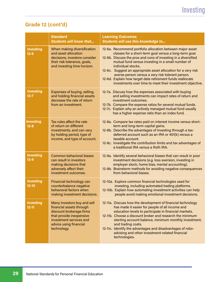### Grade 12 (cont'd)

|                               | <b>Standard</b><br><b>Students will know that</b>                                                                                                                                   | <b>Learning Outcomes</b><br>Students will use this knowledge to                                                                                                                                                                                                                                                                                                                                                                                                                                                    |
|-------------------------------|-------------------------------------------------------------------------------------------------------------------------------------------------------------------------------------|--------------------------------------------------------------------------------------------------------------------------------------------------------------------------------------------------------------------------------------------------------------------------------------------------------------------------------------------------------------------------------------------------------------------------------------------------------------------------------------------------------------------|
| <b>Investing</b><br>$12 - 6$  | When making diversification<br>and asset allocation<br>decisions, investors consider<br>their risk tolerance, goals,<br>and investing time horizon.                                 | 12-6a. Recommend portfolio allocation between major asset<br>classes for a short-term goal versus a long-term goal.<br>12-6b. Discuss the pros and cons of investing in a diversified<br>mutual fund versus investing in a small number of<br>individual stocks.<br>12-6c. Suggest an appropriate asset allocation for a very risk<br>averse person versus a very risk tolerant person.<br>12-6d. Explain how target date retirement funds reallocate<br>investments over time to meet their investment objective. |
| <b>Investing</b><br>$12 - 7$  | Expenses of buying, selling,<br>and holding financial assets<br>decrease the rate of return<br>from an investment.                                                                  | 12-7a. Discuss how the expenses associated with buying<br>and selling investments can impact rates of return and<br>investment outcomes.<br>12-7b. Compare the expense ratios for several mutual funds.<br>12-7c. Explain why an actively managed mutual fund usually<br>has a higher expense ratio than an index fund.                                                                                                                                                                                            |
| <b>Investing</b><br>$12 - 8$  | Tax rules affect the rate<br>of return on different<br>investments, and can vary<br>by holding period, type of<br>income, and type of account.                                      | 12-8a. Compare tax rates paid on interest income versus short-<br>term and long-term capital gains.<br>12-8b. Describe the advantages of investing through a tax-<br>deferred account such as an IRA or 401(k) versus a<br>taxable account.<br>12-8c. Investigate the contribution limits and tax advantages of<br>a traditional IRA versus a Roth IRA.                                                                                                                                                            |
| <b>Investing</b><br>$12 - 9$  | <b>Common behavioral biases</b><br>can result in investors<br>making decisions that<br>adversely affect their<br>investment outcomes.                                               | 12-9a. Identify several behavioral biases that can result in poor<br>investment decisions (e.g. loss aversion, investing in<br>employer stock, home bias, mental accounting).<br>12-9b. Brainstorm methods for avoiding negative consequences<br>from behavioral biases.                                                                                                                                                                                                                                           |
| <b>Investing</b><br>$12 - 10$ | Financial technology can<br>counterbalance negative<br>behavioral factors when<br>making investment decisions.                                                                      | 12-10a. Explore common financial technologies used for<br>investing, including automated trading platforms.<br>12-10b. Explain how automating investment activities can help<br>people avoid making emotional investment decisions.                                                                                                                                                                                                                                                                                |
| <b>Investing</b><br>$12 - 11$ | Many investors buy and sell<br>financial assets through<br>discount brokerage firms<br>that provide inexpensive<br>investment services and<br>advice using financial<br>technology. | 12-11a. Discuss how the development of financial technology<br>has made it easier for people of all income and<br>education levels to participate in financial markets.<br>12-11b. Choose a discount broker and research the minimum<br>starting account balance, minimum monthly investment,<br>and trading costs.<br>12-11c. Identify the advantages and disadvantages of robo-<br>advising and other investment-related financial<br>technologies.                                                              |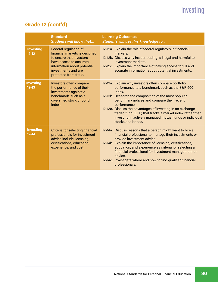### Grade 12 (cont'd)

|                               | <b>Standard</b><br><b>Students will know that</b>                                                                                                                                            | <b>Learning Outcomes</b><br>Students will use this knowledge to                                                                                                                                                                                                                                                                                                                                                                                     |
|-------------------------------|----------------------------------------------------------------------------------------------------------------------------------------------------------------------------------------------|-----------------------------------------------------------------------------------------------------------------------------------------------------------------------------------------------------------------------------------------------------------------------------------------------------------------------------------------------------------------------------------------------------------------------------------------------------|
| <b>Investing</b><br>$12 - 12$ | Federal regulation of<br>financial markets is designed<br>to ensure that investors<br>have access to accurate<br>information about potential<br>investments and are<br>protected from fraud. | 12-12a. Explain the role of federal regulators in financial<br>markets.<br>12-12b. Discuss why insider trading is illegal and harmful to<br>investment markets.<br>12-12c. Explain the importance of having access to full and<br>accurate information about potential investments.                                                                                                                                                                 |
| <b>Investing</b><br>$12 - 13$ | Investors often compare<br>the performance of their<br>investments against a<br>benchmark, such as a<br>diversified stock or bond<br>index.                                                  | 12-13a. Explain why investors often compare portfolio<br>performance to a benchmark such as the S&P 500<br>Index.<br>12-13b. Research the composition of the most popular<br>benchmark indices and compare their recent<br>performance.<br>12-13c. Discuss the advantages of investing in an exchange-<br>traded fund (ETF) that tracks a market index rather than<br>investing in actively managed mutual funds or individual<br>stocks and bonds. |
| <b>Investing</b><br>$12 - 14$ | Criteria for selecting financial<br>professionals for investment<br>advice include licensing,<br>certifications, education,<br>experience, and cost.                                         | 12-14a. Discuss reasons that a person might want to hire a<br>financial professional to manage their investments or<br>provide investment advice.<br>12-14b. Explain the importance of licensing, certifications,<br>education, and experience as criteria for selecting a<br>financial professional for investment management or<br>advice.<br>12-14c. Investigate where and how to find qualified financial<br>professionals.                     |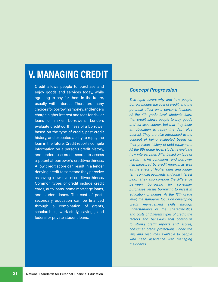## V. MANAGING CREDIT

Credit allows people to purchase and enjoy goods and services today, while agreeing to pay for them in the future, usually with interest. There are many choices for borrowing money, and lenders charge higher interest and fees for riskier loans or riskier borrowers. Lenders evaluate creditworthiness of a borrower based on the type of credit, past credit history, and expected ability to repay the loan in the future. Credit reports compile information on a person's credit history, and lenders use credit scores to assess a potential borrower's creditworthiness. A low credit score can result in a lender denying credit to someone they perceive as having a low level of creditworthiness. Common types of credit include credit cards, auto loans, home mortgage loans, and student loans. The cost of postsecondary education can be financed through a combination of grants, scholarships, work-study, savings, and federal or private student loans.

#### Concept Progression

This topic covers why and how people borrow money, the cost of credit, and the potential effect on a person's finances. At the 4th grade level, students learn that credit allows people to buy goods and services sooner, but that they incur an obligation to repay the debt plus interest. They are also introduced to the concept of being evaluated based on their previous history of debt repayment. At the 8th grade level, students evaluate how interest rates differ based on type of credit, market conditions, and borrower risk measured by credit reports, as well as the effect of higher rates and longer terms on loan payments and total interest paid. They also consider the difference between borrowing for consumer purchases versus borrowing to invest in education or homes. At the 12th grade level, the standards focus on developing credit management skills through understanding of the characteristics and costs of different types of credit, the factors and behaviors that contribute to strong credit reports and scores, consumer credit protections under the law, and resources available to people who need assistance with managing their debts.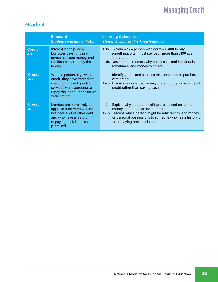|                          | <b>Standard</b><br><b>Students will know that</b>                                                                                                                     | <b>Learning Outcomes</b><br><b>Students will use this knowledge to</b>                                                                                                                                                                                    |
|--------------------------|-----------------------------------------------------------------------------------------------------------------------------------------------------------------------|-----------------------------------------------------------------------------------------------------------------------------------------------------------------------------------------------------------------------------------------------------------|
| <b>Credit</b><br>$4 - 1$ | Interest is the price a<br>borrower pays for using<br>someone else's money, and<br>the income earned by the<br>lender.                                                | 4-1a. Explain why a person who borrows \$100 to buy<br>something, often must pay back more than \$100 at a<br>future date.<br>4-1b. Describe the reasons why businesses and individuals<br>sometimes lend money to others.                                |
| <b>Credit</b><br>$4 - 2$ | When a person pays with<br>credit, they have immediate<br>use of purchased goods or<br>services while agreeing to<br>repay the lender in the future<br>with interest. | 4-2a. Identify goods and services that people often purchase<br>with credit.<br>4-2b. Discuss reasons people may prefer to buy something with<br>credit rather than paying cash.                                                                          |
| <b>Credit</b><br>$4 - 3$ | Lenders are more likely to<br>approve borrowers who do<br>not have a lot of other debt<br>and who have a history<br>of paying back loans as<br>promised.              | 4-3a. Explain why a person might prefer to lend an item or<br>money to one person over another.<br>4-3b. Discuss why a person might be reluctant to lend money<br>or personal possessions to someone who has a history of<br>not repaying previous loans. |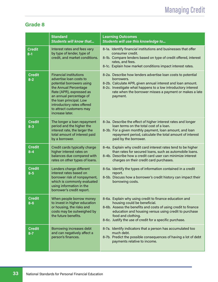## Managing Credit

|                          | <b>Standard</b><br><b>Students will know that</b>                                                                                                                                                                                                                             | <b>Learning Outcomes</b><br>Students will use this knowledge to                                                                                                                                                                                                                                      |
|--------------------------|-------------------------------------------------------------------------------------------------------------------------------------------------------------------------------------------------------------------------------------------------------------------------------|------------------------------------------------------------------------------------------------------------------------------------------------------------------------------------------------------------------------------------------------------------------------------------------------------|
| <b>Credit</b><br>$8 - 1$ | Interest rates and fees vary<br>by type of lender, type of<br>credit, and market conditions.                                                                                                                                                                                  | 8-1a. Identify financial institutions and businesses that offer<br>consumer credit.<br>8-1b. Compare lenders based on type of credit offered, interest<br>rates, and fees.<br>8-1c. Explain how market conditions impact interest rates.                                                             |
| <b>Credit</b><br>$8 - 2$ | <b>Financial institutions</b><br>advertise loan costs to<br>potential borrowers using<br>the Annual Percentage<br>Rate (APR), expressed as<br>an annual percentage of<br>the loan principal. Low<br>introductory rates offered<br>to attract customers may<br>increase later. | 8-2a. Describe how lenders advertise loan costs to potential<br>borrowers.<br>8-2b. Calculate APR, given annual interest and loan amount.<br>8-2c. Investigate what happens to a low introductory interest<br>rate when the borrower misses a payment or makes a late<br>payment.                    |
| <b>Credit</b><br>$8 - 3$ | The longer a loan repayment<br>period and the higher the<br>interest rate, the larger the<br>total amount of interest paid<br>by a borrower.                                                                                                                                  | 8-3a. Describe the effect of higher interest rates and longer<br>loan terms on the total cost of a loan.<br>8-3b. For a given monthly payment, loan amount, and loan<br>repayment period, calculate the total amount of interest<br>paid by the borrower.                                            |
| <b>Credit</b><br>$8 - 4$ | Credit cards typically charge<br>higher interest rates on<br>balances due compared with<br>rates on other types of loans.                                                                                                                                                     | 8-4a. Explain why credit card interest rates tend to be higher<br>than rates for secured loans, such as automobile loans.<br>8-4b. Describe how a credit card user can minimize interest<br>charges on their credit card purchases.                                                                  |
| <b>Credit</b><br>$8 - 5$ | Lenders charge different<br>interest rates based on<br>borrower risk of nonpayment,<br>which is commonly evaluated<br>using information in the<br>borrower's credit report.                                                                                                   | 8-5a. Identify the types of information contained in a credit<br>report.<br>8-5b. Discuss how a borrower's credit history can impact their<br>borrowing costs.                                                                                                                                       |
| <b>Credit</b><br>$8 - 6$ | When people borrow money<br>to invest in higher education<br>or housing, the risks and<br>costs may be outweighed by<br>the future benefits.                                                                                                                                  | 8-6a. Explain why using credit to finance education and<br>housing could be beneficial.<br>8-6b. Assess the benefits and costs of using credit to finance<br>education and housing versus using credit to purchase<br>food and clothing.<br>8-6c. Justify the use of credit for a specific purchase. |
| <b>Credit</b><br>$8 - 7$ | Borrowing increases debt<br>and can negatively affect a<br>person's finances.                                                                                                                                                                                                 | 8-7a. Identify indicators that a person has accumulated too<br>much debt.<br>8-7b. Predict the possible consequences of having a lot of debt<br>payments relative to income.                                                                                                                         |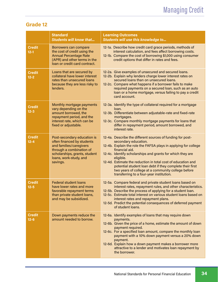|                           | <b>Standard</b><br><b>Students will know that</b>                                                                                                                                       | <b>Learning Outcomes</b><br>Students will use this knowledge to                                                                                                                                                                                                                                                                                                                                                                                                                  |
|---------------------------|-----------------------------------------------------------------------------------------------------------------------------------------------------------------------------------------|----------------------------------------------------------------------------------------------------------------------------------------------------------------------------------------------------------------------------------------------------------------------------------------------------------------------------------------------------------------------------------------------------------------------------------------------------------------------------------|
| <b>Credit</b><br>$12 - 1$ | Borrowers can compare<br>the cost of credit using the<br><b>Annual Percentage Rate</b><br>(APR) and other terms in the<br>loan or credit card contract.                                 | 12-1a. Describe how credit card grace periods, methods of<br>interest calculation, and fees affect borrowing costs.<br>12-1b. Compare the cost of borrowing \$1,000 using consumer<br>credit options that differ in rates and fees.                                                                                                                                                                                                                                              |
| <b>Credit</b><br>$12 - 2$ | Loans that are secured by<br>collateral have lower interest<br>rates than unsecured loans<br>because they are less risky to<br>lenders.                                                 | 12-2a. Give examples of unsecured and secured loans.<br>12-2b. Explain why lenders charge lower interest rates on<br>secured loans than on unsecured loans.<br>12-2c. Compare what happens if a borrower fails to make<br>required payments on a secured loan, such as an auto<br>loan or a home mortgage, versus failing to pay a credit<br>card account.                                                                                                                       |
| <b>Credit</b><br>$12 - 3$ | Monthly mortgage payments<br>vary depending on the<br>amount borrowed, the<br>repayment period, and the<br>interest rate, which can be<br>fixed or adjustable.                          | 12-3a. Identify the type of collateral required for a mortgage<br>loan.<br>12-3b. Differentiate between adjustable-rate and fixed-rate<br>mortgages.<br>12-3c. Compare monthly mortgage payments for loans that<br>differ in repayment period, amount borrowed, and<br>interest rate.                                                                                                                                                                                            |
| <b>Credit</b><br>$12 - 4$ | Post-secondary education is<br>often financed by students<br>and families/caregivers<br>through a combination of<br>scholarships, grants, student<br>loans, work-study, and<br>savings. | 12-4a. Describe the different sources of funding for post-<br>secondary education.<br>12-4b. Explain the role the FAFSA plays in applying for college<br>financial aid.<br>12-4c. Identify scholarships and grants for which they are<br>eligible.<br>12-4d. Estimate the reduction in total cost of education and<br>potential student loan debt if they complete their first<br>two years of college at a community college before<br>transferring to a four-year institution. |
| <b>Credit</b><br>$12 - 5$ | <b>Federal student loans</b><br>have lower rates and more<br>favorable repayment terms<br>than private student loans,<br>and may be subsidized.                                         | 12-5a. Compare federal and private student loans based on<br>interest rates, repayment rules, and other characteristics.<br>12-5b. Describe the process of applying for a student loan.<br>12-5c. Estimate total interest on various student loans based on<br>interest rates and repayment plans.<br>12-5d. Predict the potential consequences of deferred payment<br>of student loans.                                                                                         |
| <b>Credit</b><br>$12 - 6$ | Down payments reduce the<br>amount needed to borrow.                                                                                                                                    | 12-6a. Identify examples of loans that may require down<br>payments.<br>12-6b. Given the price of a home, estimate the amount of down<br>payment required.<br>12-6c. For a specified loan amount, compare the monthly loan<br>payment with a 10% down payment versus a 20% down<br>payment.<br>12-6d. Explain how a down payment makes a borrower more<br>attractive to a lender and motivates loan repayment by<br>the borrower.                                                |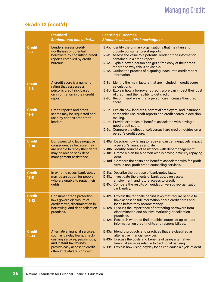### Grade 12 (cont'd)

|                            | <b>Standard</b><br><b>Students will know that</b>                                                                                                                                               | <b>Learning Outcomes</b><br>Students will use this knowledge to                                                                                                                                                                                                                                                                                                                                                         |
|----------------------------|-------------------------------------------------------------------------------------------------------------------------------------------------------------------------------------------------|-------------------------------------------------------------------------------------------------------------------------------------------------------------------------------------------------------------------------------------------------------------------------------------------------------------------------------------------------------------------------------------------------------------------------|
| <b>Credit</b><br>$12 - 7$  | Lenders assess credit-<br>worthiness of potential<br>borrowers by consulting credit<br>reports compiled by credit<br>bureaus.                                                                   | 12-7a. Identify the primary organizations that maintain and<br>provide consumer credit reports.<br>12-7b. Assess the value to a potential lender of the information<br>contained in a credit report.<br>12-7c. Explain how a person can get a free copy of their credit<br>report and why this is advisable.<br>12-7d. Outline the process of disputing inaccurate credit report<br>information.                        |
| <b>Credit</b><br>$12 - 8$  | A credit score is a numeric<br>rating that assesses a<br>person's credit risk based<br>on information in their credit<br>report.                                                                | 12-8a. Identify the main factors that are included in credit score<br>calculations.<br>12-8b. Explain how a borrower's credit score can impact their cost<br>of credit and their ability to get credit.<br>12-8c. Recommend ways that a person can increase their credit<br>score.                                                                                                                                      |
| <b>Credit</b><br>$12 - 9$  | Credit reports and credit<br>scores may be requested and<br>used by entities other than<br>lenders.                                                                                             | 12-9a. Explain how landlords, potential employers, and insurance<br>companies use credit reports and credit scores in decision-<br>making.<br>12-9b. Provide examples of benefits associated with having a<br>good credit score.<br>12-9c. Compare the effect of soft versus hard credit inquiries on a<br>person's credit score.                                                                                       |
| <b>Credit</b><br>$12 - 10$ | Borrowers who face negative<br>consequences because they<br>are unable to repay their debts<br>may be able to seek debt<br>management assistance.                                               | 12-10a. Describe how failing to repay a loan can negatively impact<br>a person's finances and life.<br>12-10b. Identify sources of assistance with debt management.<br>12-10c. Create a plan for a person who is having difficulty repaying<br>debt.<br>12-10d. Compare the costs and benefits associated with for-profit<br>versus non-profit credit counseling services.                                              |
| <b>Credit</b><br>$12 - 11$ | In extreme cases, bankruptcy<br>may be an option for people<br>who are unable to repay their<br>debts.                                                                                          | 12-11a. Describe the purpose of bankruptcy laws.<br>12-11b. Investigate the effects of bankruptcy on assets,<br>employment, and future access to credit.<br>12-11c. Compare the results of liquidation versus reorganization<br>bankruptcy.                                                                                                                                                                             |
| <b>Credit</b><br>$12 - 12$ | Consumer credit protection<br>laws govern disclosure of<br>credit terms, discrimination in<br>borrowing, and debt collection<br>practices.                                                      | 12-12a. Explain the rationale behind laws that require people to<br>have access to full information about credit cards and<br>loans before they borrow money.<br>12-12b. Discuss the importance of protecting borrowers from<br>discrimination and abusive marketing or collection<br>practices.<br>12-12c. Research where to find credible sources of up-to-date<br>information on credit rights and responsibilities. |
| <b>Credit</b><br>$12 - 13$ | Alternative financial services,<br>such as payday loans, check-<br>cashing services, pawnshops,<br>and instant tax refunds,<br>provide easy access to credit,<br>often at relatively high cost. | 12-13a. Identify products and practices that are classified as<br>alternative financial services.<br>12-13b. Discuss the costs and benefits of using alternative<br>financial services relative to traditional banking.<br>12-13c. Explain how using payday loans can cause a cycle of debt.                                                                                                                            |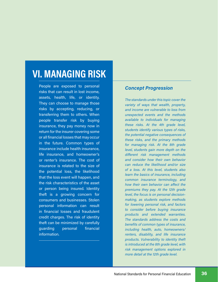## VI. MANAGING RISK

People are exposed to personal risks that can result in lost income, assets, health, life, or identity. They can choose to manage those risks by accepting, reducing, or transferring them to others. When people transfer risk by buying insurance, they pay money now in return for the insurer covering some or all financial losses that may occur in the future. Common types of insurance include health insurance, life insurance, and homeowner's or renter's insurance. The cost of insurance is related to the size of the potential loss, the likelihood that the loss event will happen, and the risk characteristics of the asset or person being insured. Identity theft is a growing concern for consumers and businesses. Stolen personal information can result in financial losses and fraudulent credit charges. The risk of identity theft can be minimized by carefully guarding personal financial information.

#### Concept Progression

The standards under this topic cover the variety of ways that wealth, property, and income are vulnerable to loss from unexpected events and the methods available to individuals for managing these risks. At the 4th grade level, students identify various types of risks, the potential negative consequences of these risks, and the primary methods for managing risk. At the 8th grade level, students gain more depth on the different risk management methods and consider how their own behavior can reduce the likelihood and/or size of a loss. At this level, students also learn the basics of insurance, including common insurance terminology, and how their own behavior can affect the premiums they pay. At the 12th grade level, the focus is on personal decisionmaking, as students explore methods for lowering personal risk, and factors to consider before buying insurance products and extended warranties. The standards address the costs and benefits of common types of insurance, including health, auto, homeowners/ renters, disability, and life insurance products. Vulnerability to identity theft is introduced at the 8th grade level, with risk management options explored in more detail at the 12th grade level.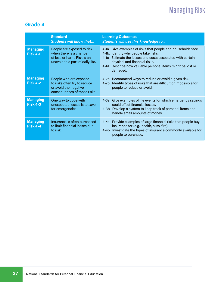|                                    | <b>Standard</b><br><b>Students will know that</b>                                                                      | <b>Learning Outcomes</b><br><b>Students will use this knowledge to</b>                                                                                                                                                                                                            |
|------------------------------------|------------------------------------------------------------------------------------------------------------------------|-----------------------------------------------------------------------------------------------------------------------------------------------------------------------------------------------------------------------------------------------------------------------------------|
| <b>Managing</b><br><b>Risk 4-1</b> | People are exposed to risk<br>when there is a chance<br>of loss or harm. Risk is an<br>unavoidable part of daily life. | 4-1a. Give examples of risks that people and households face.<br>4-1b. Identify why people take risks.<br>4-1c. Estimate the losses and costs associated with certain<br>physical and financial risks.<br>4-1d. Describe how valuable personal items might be lost or<br>damaged. |
| <b>Managing</b><br><b>Risk 4-2</b> | People who are exposed<br>to risks often try to reduce<br>or avoid the negative<br>consequences of those risks.        | 4-2a. Recommend ways to reduce or avoid a given risk.<br>4-2b. Identify types of risks that are difficult or impossible for<br>people to reduce or avoid.                                                                                                                         |
| <b>Managing</b><br><b>Risk 4-3</b> | One way to cope with<br>unexpected losses is to save<br>for emergencies.                                               | 4-3a. Give examples of life events for which emergency savings<br>could offset financial losses.<br>4-3b. Develop a system to keep track of personal items and<br>handle small amounts of money.                                                                                  |
| <b>Managing</b><br><b>Risk 4-4</b> | Insurance is often purchased<br>to limit financial losses due<br>to risk.                                              | 4-4a. Provide examples of large financial risks that people buy<br>insurance for (e.g., health, auto, fire).<br>4-4b. Investigate the types of insurance commonly available for<br>people to purchase.                                                                            |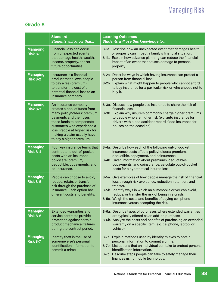|                                    | <b>Standard</b><br><b>Students will know that</b>                                                                                                                                                                                                                      | <b>Learning Outcomes</b><br>Students will use this knowledge to                                                                                                                                                                                                                                                                                               |
|------------------------------------|------------------------------------------------------------------------------------------------------------------------------------------------------------------------------------------------------------------------------------------------------------------------|---------------------------------------------------------------------------------------------------------------------------------------------------------------------------------------------------------------------------------------------------------------------------------------------------------------------------------------------------------------|
| <b>Managing</b><br><b>Risk 8-1</b> | Financial loss can occur<br>from unexpected events<br>that damage health, wealth,<br>income, property, and/or<br>future opportunities.                                                                                                                                 | 8-1a. Describe how an unexpected event that damages health<br>or property can impact a family's financial situation.<br>8-1b. Explain how advance planning can reduce the financial<br>impact of an event that causes damage to personal<br>property.                                                                                                         |
| <b>Managing</b><br><b>Risk 8-2</b> | Insurance is a financial<br>product that allows people<br>to pay a fee (premium)<br>to transfer the cost of a<br>potential financial loss to an<br>insurance company.                                                                                                  | 8-2a. Describe ways in which having insurance can protect a<br>person from financial loss.<br>8-2b. Explain what might happen to people who cannot afford<br>to buy insurance for a particular risk or who choose not to<br>buy it.                                                                                                                           |
| <b>Managing</b><br><b>Risk 8-3</b> | An insurance company<br>creates a pool of funds from<br>many policyholders' premium<br>payments and then uses<br>these funds to compensate<br>customers who experience a<br>loss. People at higher risk for<br>making a claim usually have<br>to pay a higher premium. | 8-3a. Discuss how people use insurance to share the risk of<br>financial loss.<br>8-3b. Explain why insurers commonly charge higher premiums<br>to people who are higher risk (e.g. auto insurance for<br>drivers with a bad accident record, flood insurance for<br>houses on the coastline).                                                                |
| <b>Managing</b><br><b>Risk 8-4</b> | Four key insurance terms that<br>contribute to out-of-pocket<br>costs with an insurance<br>policy are: premium,<br>deductible, copayments, and<br>co-insurance.                                                                                                        | 8-4a. Describe how each of the following out-of-pocket<br>insurance costs affects policyholders: premium,<br>deductible, copayment, and coinsurance.<br>8-4b. Given information about premiums, deductibles,<br>copayments, and coinsurance, calculate out-of-pocket<br>costs for a hypothetical insured loss.                                                |
| <b>Managing</b><br><b>Risk 8-5</b> | People can choose to avoid,<br>reduce, retain, or transfer<br>risk through the purchase of<br>insurance. Each option has<br>different costs and benefits.                                                                                                              | 8-5a. Give examples of how people manage the risk of financial<br>loss through risk avoidance, reduction, retention, and<br>transfer.<br>8-5b. Identify ways in which an automobile driver can avoid,<br>reduce, or transfer the risk of being in a crash.<br>8-5c. Weigh the costs and benefits of buying cell phone<br>insurance versus accepting the risk. |
| <b>Managing</b><br><b>Risk 8-6</b> | <b>Extended warranties and</b><br>service contracts provide<br>protection against certain<br>product mechanical failures<br>during the contract period.                                                                                                                | 8-6a. Describe types of purchases where extended warranties<br>are typically offered as an add-on purchase.<br>8-6b. Analyze the costs and benefits of purchasing an extended<br>warranty on a specific item (e.g. cellphone, laptop, or<br>vehicle).                                                                                                         |
| <b>Managing</b><br><b>Risk 8-7</b> | Identity theft is the use of<br>someone else's personal<br>identification information to<br>commit a crime.                                                                                                                                                            | 8-7a. Explain methods used by identity thieves to obtain<br>personal information to commit a crime.<br>8-7b. List actions that an individual can take to protect personal<br>identification information.<br>8-7c. Describe steps people can take to safely manage their<br>finances using mobile technology.                                                  |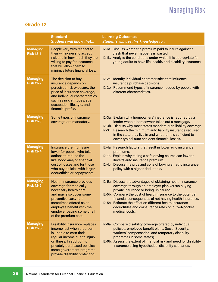|                                     | <b>Standard</b><br><b>Students will know that</b>                                                                                                                                                                                                         | <b>Learning Outcomes</b><br>Students will use this knowledge to                                                                                                                                                                                                                                                                                                                                                       |
|-------------------------------------|-----------------------------------------------------------------------------------------------------------------------------------------------------------------------------------------------------------------------------------------------------------|-----------------------------------------------------------------------------------------------------------------------------------------------------------------------------------------------------------------------------------------------------------------------------------------------------------------------------------------------------------------------------------------------------------------------|
| <b>Managing</b><br><b>Risk 12-1</b> | People vary with respect to<br>their willingness to accept<br>risk and in how much they are<br>willing to pay for insurance<br>that will allow them to<br>minimze future financial loss.                                                                  | 12-1a. Discuss whether a premium paid to insure against a<br>crash that never happens is wasted.<br>12-1b. Analyze the conditions under which it is appropriate for<br>young adults to have life, health, and disability insurance.                                                                                                                                                                                   |
| <b>Managing</b><br><b>Risk 12-2</b> | The decision to buy<br>insurance depends on<br>perceived risk exposure, the<br>price of insurance coverage,<br>and individual characteristics<br>such as risk attitudes, age,<br>occupation, lifestyle, and<br>financial profile.                         | 12-2a. Identify individual characteristics that influence<br>insurance purchase decisions.<br>12-2b. Recommend types of insurance needed by people with<br>different characteristics.                                                                                                                                                                                                                                 |
| <b>Managing</b><br><b>Risk 12-3</b> | Some types of insurance<br>coverage are mandatory.                                                                                                                                                                                                        | 12-3a. Explain why homeowners' insurance is required by a<br>lender when a homeowner takes out a mortgage.<br>12-3b. Discuss why most states mandate auto liability coverage.<br>12-3c. Research the minimum auto liability insurance required<br>in the state they live in and whether it is sufficient to<br>cover typical auto accident financial losses.                                                          |
| <b>Managing</b><br><b>Risk 12-4</b> | Insurance premiums are<br>lower for people who take<br>actions to reduce the<br>likelihood and/or financial<br>cost of losses and for those<br>who buy policies with larger<br>deductibles or copayments.                                                 | 12-4a. Research factors that result in lower auto insurance<br>premiums.<br>12.4b. Explain why taking a safe driving course can lower a<br>driver's auto insurance premium.<br>12-4c. Discuss the pros and cons of buying an auto insurance<br>policy with a higher deductible.                                                                                                                                       |
| <b>Managing</b><br><b>Risk 12-5</b> | <b>Health insurance provides</b><br>coverage for medically<br>necessary health care<br>and may also cover some<br>preventive care. It is<br>sometimes offered as an<br>employee benefit with the<br>employer paying some or all<br>of the premium cost.   | 12-5a. Discuss the advantages of obtaining health insurance<br>coverage through an employer plan versus buying<br>private insurance or being uninsured.<br>12-5b. Compare the cost of health insurance to the potential<br>financial consequences of not having health insurance.<br>12-5c. Estimate the effect on different health insurance<br>deductibles and coinsurance rates on out-of-pocket<br>medical costs. |
| <b>Managing</b><br><b>Risk 12-6</b> | <b>Disability insurance replaces</b><br>income lost when a person<br>is unable to earn their<br>regular income due to injury<br>or illness. In addition to<br>privately purchased policies,<br>some government programs<br>provide disability protection. | 12-6a. Compare disability coverage offered by individual<br>policies, employee benefit plans, Social Security,<br>workers' compensation, and temporary disability<br>programs (in some states).<br>12-6b. Assess the extent of financial risk and need for disability<br>insurance using hypothetical disability scenarios.                                                                                           |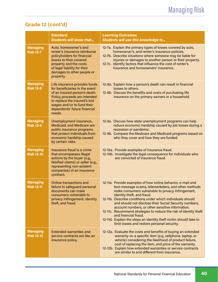### Grade 12 (cont'd)

|                                      | <b>Standard</b><br><b>Students will know that</b>                                                                                                                                                                                         | <b>Learning Outcomes</b><br>Students will use this knowledge to                                                                                                                                                                                                                                                                                                                                                                                                                                                                                                                                      |
|--------------------------------------|-------------------------------------------------------------------------------------------------------------------------------------------------------------------------------------------------------------------------------------------|------------------------------------------------------------------------------------------------------------------------------------------------------------------------------------------------------------------------------------------------------------------------------------------------------------------------------------------------------------------------------------------------------------------------------------------------------------------------------------------------------------------------------------------------------------------------------------------------------|
| <b>Managing</b><br><b>Risk 12-7</b>  | Auto, homeowner's and<br>renter's insurance reimburse<br>policyholders for financial<br>losses to their covered<br>property and the costs<br>of legal liability for their<br>damages to other people or<br>property.                      | 12-7a. Explain the primary types of losses covered by auto,<br>homeowner's, and renter's insurance policies.<br>12-7b. Describe situations where someone may be liable for<br>injuries or damages to another person or their property.<br>12-7c. Identify factors that influence the cost of renter's<br>insurance and homeowners' insurance.                                                                                                                                                                                                                                                        |
| <b>Managing</b><br><b>Risk 12-8</b>  | Life insurance provides funds<br>for beneficiaries in the event<br>of an insured person's death.<br>Policy proceeds are intended<br>to replace the insured's lost<br>wages and/or to fund their<br>dependents' future financial<br>needs. | 12-8a. Explain how a person's death can result in financial<br>losses to others.<br>12-8b. Discuss the benefits and costs of purchasing life<br>insurance on the primary earners in a household.                                                                                                                                                                                                                                                                                                                                                                                                     |
| <b>Managing</b><br><b>Risk 12-9</b>  | Unemployment insurance,<br><b>Medicaid, and Medicare are</b><br>public insurance programs<br>that protect individuals from<br>economic hardship caused<br>by certain risks.                                                               | 12-9a. Discuss how state unemployment programs can help<br>reduce economic hardship caused by job losses during a<br>recession or pandemic.<br>12-9b. Compare the Medicare and Medicaid programs based on<br>who they cover and how they are funded.                                                                                                                                                                                                                                                                                                                                                 |
| <b>Managing</b><br><b>Risk 12-10</b> | Insurance fraud is a crime<br>that encompasses illegal<br>actions by the buyer (e.g.,<br>falsified claims) or seller (e.g.,<br>representing non-existent<br>companies) of an insurance<br>contract.                                       | 12-10a. Provide examples of insurance fraud.<br>12-10b. Investigate the legal consequence for individuals who<br>are convicted of insurance fraud.                                                                                                                                                                                                                                                                                                                                                                                                                                                   |
| <b>Managing</b><br><b>Risk 12-11</b> | Online transactions and<br>failure to safeguard personal<br>documents can make<br>consumers vulnerable to<br>privacy infringement, identity<br>theft, and fraud.                                                                          | 12-11a. Provide examples of how online behavior, e-mail and<br>text-message scams, telemarketers, and other methods<br>make consumers vulnerable to privacy infringement,<br>identity theft, and fraud.<br>12-11b. Describe conditions under which individuals should<br>and should not disclose their Social Security numbers,<br>account numbers, or other sensitive information.<br>12-11c. Recommend strategies to reduce the risk of identity theft<br>and financial fraud.<br>12-11d. Explain the steps an identity theft victim should take to<br>limit losses and restore personal security. |
| <b>Managing</b><br><b>Risk 12-12</b> | Extended warranties and<br>service contracts are like an<br>insurance policy.                                                                                                                                                             | 12-12a. Evaluate the costs and benefits of buying an extended<br>warranty on a specific item (e.g. cellphone, laptop, or<br>vehicle) considering the likelihood of product failure,<br>cost of replacing the item, and price of the warranty.<br>12-12b. Explain how extended warranties or service contracts<br>are similar to and different from insurance.                                                                                                                                                                                                                                        |